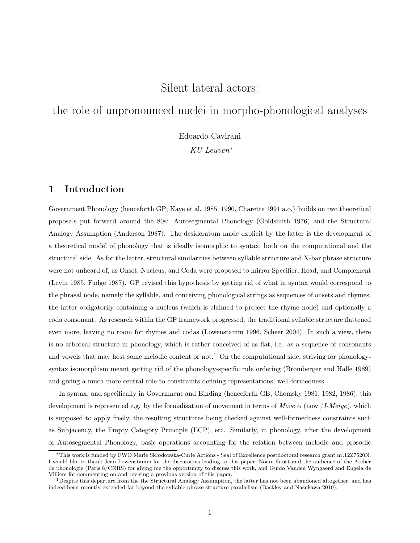# Silent lateral actors:

# the role of unpronounced nuclei in morpho-phonological analyses

Edoardo Cavirani

KU Leuven<sup>∗</sup>

## 1 Introduction

Government Phonology (henceforth GP; Kaye et al. 1985, 1990, Charette 1991 a.o.) builds on two theoretical proposals put forward around the 80s: Autosegmental Phonology (Goldsmith 1976) and the Structural Analogy Assumption (Anderson 1987). The desideratum made explicit by the latter is the development of a theoretical model of phonology that is ideally isomorphic to syntax, both on the computational and the structural side. As for the latter, structural similarities between syllable structure and X-bar phrase structure were not unheard of, as Onset, Nucleus, and Coda were proposed to mirror Specifier, Head, and Complement (Levin 1985, Fudge 1987). GP revised this hypothesis by getting rid of what in syntax would correspond to the phrasal node, namely the syllable, and conceiving phonological strings as sequences of onsets and rhymes, the latter obligatorily containing a nucleus (which is claimed to project the rhyme node) and optionally a coda consonant. As research within the GP framework progressed, the traditional syllable structure flattened even more, leaving no room for rhymes and codas (Lowenstamm 1996, Scheer 2004). In such a view, there is no arboreal structure in phonology, which is rather conceived of as flat, i.e. as a sequence of consonants and vowels that may host some melodic content or not.<sup>1</sup> On the computational side, striving for phonologysyntax isomorphism meant getting rid of the phonology-specific rule ordering (Bromberger and Halle 1989) and giving a much more central role to constraints defining representations' well-formedness.

In syntax, and specifically in Government and Binding (henceforth GB, Chomsky 1981, 1982, 1986), this development is represented e.g. by the formalisation of movement in terms of Move  $\alpha$  (now /I-Merge), which is supposed to apply freely, the resulting structures being checked against well-formedness constraints such as Subjacency, the Empty Category Principle (ECP), etc. Similarly, in phonology, after the development of Autosegmental Phonology, basic operations accounting for the relation between melodic and prosodic

<sup>∗</sup>This work is funded by FWO Marie Skłodowska-Curie Actions - Seal of Excellence postdoctoral research grant nr.12Z7520N. I would like to thank Jean Lowenstamm for the discussions leading to this paper, Noam Faust and the audience of the Atelier de phonologie (Paris 8/CNRS) for giving me the opportunity to discuss this work, and Guido Vanden Wyngaerd and Engela de Villiers for commenting on and revising a previous version of this paper.

<sup>1</sup>Despite this departure from the the Structural Analogy Assumption, the latter has not been abandoned altogether, and has indeed been recently extended far beyond the syllable-phrase structure parallelism (Backley and Nasukawa 2019).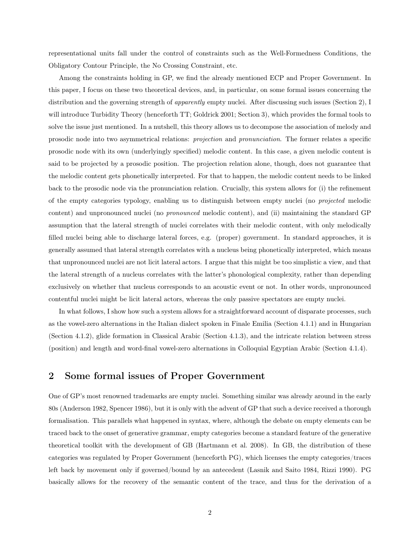representational units fall under the control of constraints such as the Well-Formedness Conditions, the Obligatory Contour Principle, the No Crossing Constraint, etc.

Among the constraints holding in GP, we find the already mentioned ECP and Proper Government. In this paper, I focus on these two theoretical devices, and, in particular, on some formal issues concerning the distribution and the governing strength of *apparently* empty nuclei. After discussing such issues (Section 2), I will introduce Turbidity Theory (henceforth TT; Goldrick 2001; Section 3), which provides the formal tools to solve the issue just mentioned. In a nutshell, this theory allows us to decompose the association of melody and prosodic node into two asymmetrical relations: projection and pronunciation. The former relates a specific prosodic node with its own (underlyingly specified) melodic content. In this case, a given melodic content is said to be projected by a prosodic position. The projection relation alone, though, does not guarantee that the melodic content gets phonetically interpreted. For that to happen, the melodic content needs to be linked back to the prosodic node via the pronunciation relation. Crucially, this system allows for (i) the refinement of the empty categories typology, enabling us to distinguish between empty nuclei (no projected melodic content) and unpronounced nuclei (no pronounced melodic content), and (ii) maintaining the standard GP assumption that the lateral strength of nuclei correlates with their melodic content, with only melodically filled nuclei being able to discharge lateral forces, e.g. (proper) government. In standard approaches, it is generally assumed that lateral strength correlates with a nucleus being phonetically interpreted, which means that unpronounced nuclei are not licit lateral actors. I argue that this might be too simplistic a view, and that the lateral strength of a nucleus correlates with the latter's phonological complexity, rather than depending exclusively on whether that nucleus corresponds to an acoustic event or not. In other words, unpronounced contentful nuclei might be licit lateral actors, whereas the only passive spectators are empty nuclei.

In what follows, I show how such a system allows for a straightforward account of disparate processes, such as the vowel-zero alternations in the Italian dialect spoken in Finale Emilia (Section 4.1.1) and in Hungarian (Section 4.1.2), glide formation in Classical Arabic (Section 4.1.3), and the intricate relation between stress (position) and length and word-final vowel-zero alternations in Colloquial Egyptian Arabic (Section 4.1.4).

### 2 Some formal issues of Proper Government

One of GP's most renowned trademarks are empty nuclei. Something similar was already around in the early 80s (Anderson 1982, Spencer 1986), but it is only with the advent of GP that such a device received a thorough formalisation. This parallels what happened in syntax, where, although the debate on empty elements can be traced back to the onset of generative grammar, empty categories become a standard feature of the generative theoretical toolkit with the development of GB (Hartmann et al. 2008). In GB, the distribution of these categories was regulated by Proper Government (henceforth PG), which licenses the empty categories/traces left back by movement only if governed/bound by an antecedent (Lasnik and Saito 1984, Rizzi 1990). PG basically allows for the recovery of the semantic content of the trace, and thus for the derivation of a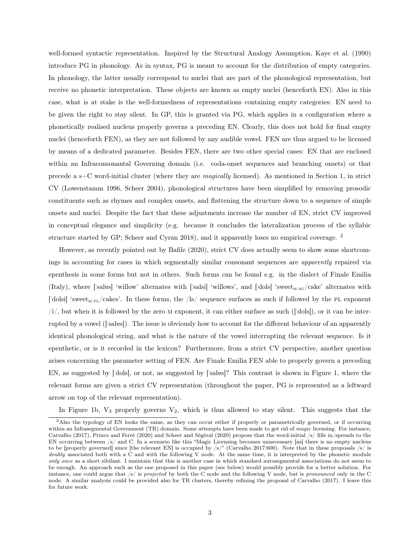well-formed syntactic representation. Inspired by the Structural Analogy Assumption, Kaye et al. (1990) introduce PG in phonology. As in syntax, PG is meant to account for the distribution of empty categories. In phonology, the latter usually correspond to nuclei that are part of the phonological representation, but receive no phonetic interpretation. These objects are known as empty nuclei (henceforth EN). Also in this case, what is at stake is the well-formedness of representations containing empty categories: EN need to be given the right to stay silent. In GP, this is granted via PG, which applies in a configuration where a phonetically realised nucleus properly governs a preceding EN. Clearly, this does not hold for final empty nuclei (henceforth FEN), as they are not followed by any audible vowel. FEN are thus argued to be licensed by means of a dedicated parameter. Besides FEN, there are two other special cases: EN that are enclosed within an Infraconsonantal Governing domain (i.e. coda-onset sequences and branching onsets) or that precede a s+C word-initial cluster (where they are magically licensed). As mentioned in Section 1, in strict CV (Lowenstamm 1996, Scheer 2004), phonological structures have been simplified by removing prosodic constituents such as rhymes and complex onsets, and flattening the structure down to a sequence of simple onsets and nuclei. Despite the fact that these adjustments increase the number of EN, strict CV improved in conceptual elegance and simplicity (e.g. because it concludes the lateralization process of the syllabic structure started by GP; Scheer and Cyran 2018), and it apparently loses no empirical coverage.<sup>2</sup>

However, as recently pointed out by Bafile (2020), strict CV does actually seem to show some shortcomings in accounting for cases in which segmentally similar consonant sequences are apparently repaired via epenthesis in some forms but not in others. Such forms can be found e.g. in the dialect of Finale Emilia (Italy), where ['sales] 'willow' alternates with ['salsi] 'willows', and ['dols] 'sweet<sub>M.SG</sub>/cake' alternates with ['dolsi] 'sweet<sub>M,PL</sub>/cakes'. In these forms, the /ls/ sequence surfaces as such if followed by the PL exponent  $\langle i \rangle$ , but when it is followed by the zero M exponent, it can either surface as such (['dols]), or it can be interrupted by a vowel (['salvs]). The issue is obviously how to account for the different behaviour of an apparently identical phonological string, and what is the nature of the vowel interrupting the relevant sequence. Is it epenthetic, or is it recorded in the lexicon? Furthermore, from a strict CV perspective, another question arises concerning the parameter setting of FEN. Are Finale Emilia FEN able to properly govern a preceding EN, as suggested by ["dols], or not, as suggested by ["sal5s]? This contrast is shown in Figure 1, where the relevant forms are given a strict CV representation (throughout the paper, PG is represented as a leftward arrow on top of the relevant representation).

In Figure 1b,  $V_3$  properly governs  $V_2$ , which is thus allowed to stay silent. This suggests that the

<sup>2</sup>Also the typology of EN looks the same, as they can occur either if properly or parametrically governed, or if occurring within an Infrasegmental Government (TR) domain. Some attempts have been made to get rid of magic licensing. For instance, Carvalho (2017), Prince and Ferré (2020) and Scheer and Ségéral (2020) propose that the word-initial /s/ fills in/spreads to the EN occurring between /s/ and C. In a scenario like this "Magic Licensing becomes unnecessary [as] there is no empty nucleus to be [properly governed] since [the relevant EN] is occupied by /s/" (Carvalho 2017:600). Note that in these proposals /s/ is doubly associated both with a C and with the following V node. At the same time, it is interpreted by the phonetic module only once as a short sibilant. I maintain that this is another case in which standard autosegmental associations do not seem to be enough. An approach such as the one proposed in this paper (see below) would possibly provide for a better solution. For instance, one could argue that  $\sqrt{s}$  is projected by both the C node and the following V node, but is pronounced only in the C node. A similar analysis could be provided also for TR clusters, thereby refining the proposal of Carvalho (2017). I leave this for future work.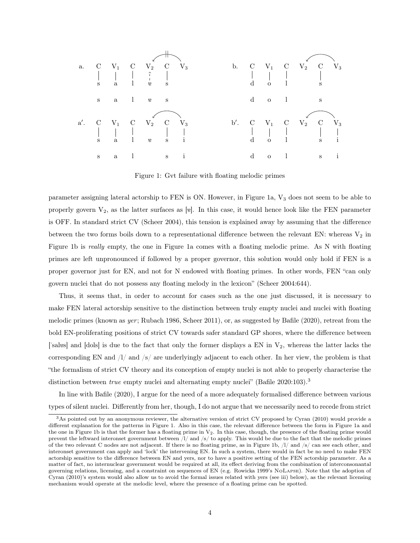

Figure 1: Gvt failure with floating melodic primes

parameter assigning lateral actorship to FEN is ON. However, in Figure 1a,  $V_3$  does not seem to be able to properly govern  $V_2$ , as the latter surfaces as [ve]. In this case, it would hence look like the FEN parameter is OFF. In standard strict CV (Scheer 2004), this tension is explained away by assuming that the difference between the two forms boils down to a representational difference between the relevant EN: whereas  $V_2$  in Figure 1b is really empty, the one in Figure 1a comes with a floating melodic prime. As N with floating primes are left unpronounced if followed by a proper governor, this solution would only hold if FEN is a proper governor just for EN, and not for N endowed with floating primes. In other words, FEN "can only govern nuclei that do not possess any floating melody in the lexicon" (Scheer 2004:644).

Thus, it seems that, in order to account for cases such as the one just discussed, it is necessary to make FEN lateral actorship sensitive to the distinction between truly empty nuclei and nuclei with floating melodic primes (known as yer; Rubach 1986, Scheer 2011), or, as suggested by Bafile  $(2020)$ , retreat from the bold EN-proliferating positions of strict CV towards safer standard GP shores, where the difference between ['salves] and [dols] is due to the fact that only the former displays a EN in  $V_2$ , whereas the latter lacks the corresponding EN and  $/1/$  and  $/s/$  are underlyingly adjacent to each other. In her view, the problem is that "the formalism of strict CV theory and its conception of empty nuclei is not able to properly characterise the distinction between *true* empty nuclei and alternating empty nuclei" (Bafile  $2020:103$ ).<sup>3</sup>

In line with Bafile (2020), I argue for the need of a more adequately formalised difference between various types of silent nuclei. Differently from her, though, I do not argue that we necessarily need to recede from strict

<sup>3</sup>As pointed out by an anonymous reviewer, the alternative version of strict CV proposed by Cyran (2010) would provide a different explanation for the patterns in Figure 1. Also in this case, the relevant difference between the form in Figure 1a and the one in Figure 1b is that the former has a floating prime in  $V_2$ . In this case, though, the presence of the floating prime would prevent the leftward interonset government between /l/ and /s/ to apply. This would be due to the fact that the melodic primes of the two relevant C nodes are not adjacent. If there is no floating prime, as in Figure 1b, /l/ and /s/ can see each other, and interonset government can apply and 'lock' the intervening EN. In such a system, there would in fact be no need to make FEN actorship sensitive to the difference between EN and yers, nor to have a positive setting of the FEN actorship parameter. As a matter of fact, no internuclear government would be required at all, its effect deriving from the combination of interconsonantal governing relations, licensing, and a constraint on sequences of EN (e.g. Rowicka 1999's NoLapse). Note that the adoption of Cyran (2010)'s system would also allow us to avoid the formal issues related with yers (see iii) below), as the relevant licensing mechanism would operate at the melodic level, where the presence of a floating prime can be spotted.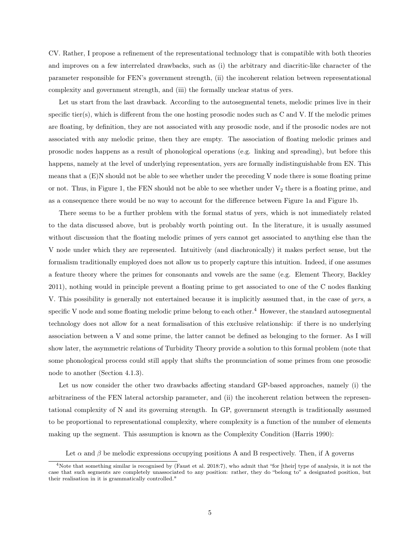CV. Rather, I propose a refinement of the representational technology that is compatible with both theories and improves on a few interrelated drawbacks, such as (i) the arbitrary and diacritic-like character of the parameter responsible for FEN's government strength, (ii) the incoherent relation between representational complexity and government strength, and (iii) the formally unclear status of yers.

Let us start from the last drawback. According to the autosegmental tenets, melodic primes live in their specific tier(s), which is different from the one hosting prosodic nodes such as C and V. If the melodic primes are floating, by definition, they are not associated with any prosodic node, and if the prosodic nodes are not associated with any melodic prime, then they are empty. The association of floating melodic primes and prosodic nodes happens as a result of phonological operations (e.g. linking and spreading), but before this happens, namely at the level of underlying representation, yers are formally indistinguishable from EN. This means that a (E)N should not be able to see whether under the preceding V node there is some floating prime or not. Thus, in Figure 1, the FEN should not be able to see whether under  $V_2$  there is a floating prime, and as a consequence there would be no way to account for the difference between Figure 1a and Figure 1b.

There seems to be a further problem with the formal status of yers, which is not immediately related to the data discussed above, but is probably worth pointing out. In the literature, it is usually assumed without discussion that the floating melodic primes of yers cannot get associated to anything else than the V node under which they are represented. Intuitively (and diachronically) it makes perfect sense, but the formalism traditionally employed does not allow us to properly capture this intuition. Indeed, if one assumes a feature theory where the primes for consonants and vowels are the same (e.g. Element Theory, Backley 2011), nothing would in principle prevent a floating prime to get associated to one of the C nodes flanking V. This possibility is generally not entertained because it is implicitly assumed that, in the case of yers, a specific V node and some floating melodic prime belong to each other.<sup>4</sup> However, the standard autosegmental technology does not allow for a neat formalisation of this exclusive relationship: if there is no underlying association between a V and some prime, the latter cannot be defined as belonging to the former. As I will show later, the asymmetric relations of Turbidity Theory provide a solution to this formal problem (note that some phonological process could still apply that shifts the pronunciation of some primes from one prosodic node to another (Section 4.1.3).

Let us now consider the other two drawbacks affecting standard GP-based approaches, namely (i) the arbitrariness of the FEN lateral actorship parameter, and (ii) the incoherent relation between the representational complexity of N and its governing strength. In GP, government strength is traditionally assumed to be proportional to representational complexity, where complexity is a function of the number of elements making up the segment. This assumption is known as the Complexity Condition (Harris 1990):

Let  $\alpha$  and  $\beta$  be melodic expressions occupying positions A and B respectively. Then, if A governs

<sup>4</sup>Note that something similar is recognised by (Faust et al. 2018:7), who admit that "for [their] type of analysis, it is not the case that such segments are completely unassociated to any position: rather, they do "belong to" a designated position, but their realisation in it is grammatically controlled."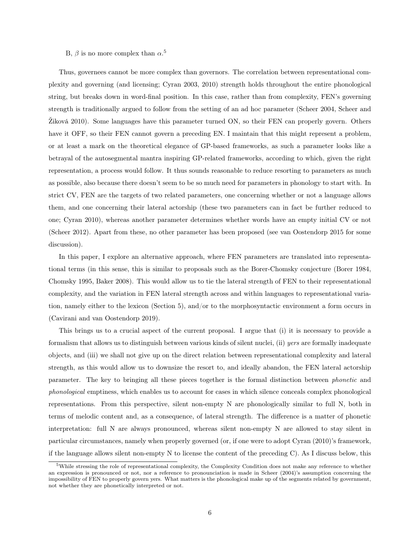### B,  $\beta$  is no more complex than  $\alpha$ <sup>5</sup>

Thus, governees cannot be more complex than governors. The correlation between representational complexity and governing (and licensing; Cyran 2003, 2010) strength holds throughout the entire phonological string, but breaks down in word-final position. In this case, rather than from complexity, FEN's governing strength is traditionally argued to follow from the setting of an ad hoc parameter (Scheer 2004, Scheer and Žiková 2010). Some languages have this parameter turned ON, so their FEN can properly govern. Others have it OFF, so their FEN cannot govern a preceding EN. I maintain that this might represent a problem, or at least a mark on the theoretical elegance of GP-based frameworks, as such a parameter looks like a betrayal of the autosegmental mantra inspiring GP-related frameworks, according to which, given the right representation, a process would follow. It thus sounds reasonable to reduce resorting to parameters as much as possible, also because there doesn't seem to be so much need for parameters in phonology to start with. In strict CV, FEN are the targets of two related parameters, one concerning whether or not a language allows them, and one concerning their lateral actorship (these two parameters can in fact be further reduced to one; Cyran 2010), whereas another parameter determines whether words have an empty initial CV or not (Scheer 2012). Apart from these, no other parameter has been proposed (see van Oostendorp 2015 for some discussion).

In this paper, I explore an alternative approach, where FEN parameters are translated into representational terms (in this sense, this is similar to proposals such as the Borer-Chomsky conjecture (Borer 1984, Chomsky 1995, Baker 2008). This would allow us to tie the lateral strength of FEN to their representational complexity, and the variation in FEN lateral strength across and within languages to representational variation, namely either to the lexicon (Section 5), and/or to the morphosyntactic environment a form occurs in (Cavirani and van Oostendorp 2019).

This brings us to a crucial aspect of the current proposal. I argue that (i) it is necessary to provide a formalism that allows us to distinguish between various kinds of silent nuclei, (ii) yers are formally inadequate objects, and (iii) we shall not give up on the direct relation between representational complexity and lateral strength, as this would allow us to downsize the resort to, and ideally abandon, the FEN lateral actorship parameter. The key to bringing all these pieces together is the formal distinction between phonetic and phonological emptiness, which enables us to account for cases in which silence conceals complex phonological representations. From this perspective, silent non-empty N are phonologically similar to full N, both in terms of melodic content and, as a consequence, of lateral strength. The difference is a matter of phonetic interpretation: full N are always pronounced, whereas silent non-empty N are allowed to stay silent in particular circumstances, namely when properly governed (or, if one were to adopt Cyran (2010)'s framework, if the language allows silent non-empty N to license the content of the preceding C). As I discuss below, this

<sup>5</sup>While stressing the role of representational complexity, the Complexity Condition does not make any reference to whether an expression is pronounced or not, nor a reference to pronounciation is made in Scheer (2004)'s assumption concerning the impossibility of FEN to properly govern yers. What matters is the phonological make up of the segments related by government, not whether they are phonetically interpreted or not.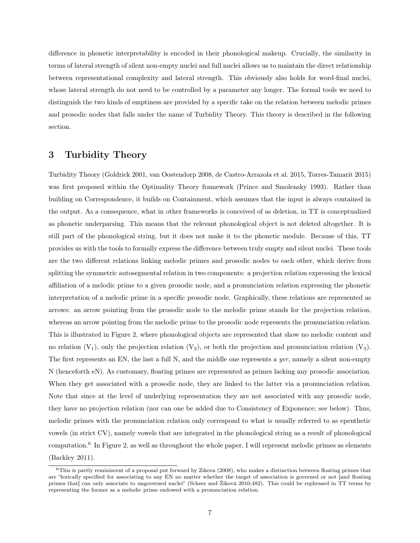difference in phonetic interpretability is encoded in their phonological makeup. Crucially, the similarity in terms of lateral strength of silent non-empty nuclei and full nuclei allows us to maintain the direct relationship between representational complexity and lateral strength. This obviously also holds for word-final nuclei, whose lateral strength do not need to be controlled by a parameter any longer. The formal tools we need to distinguish the two kinds of emptiness are provided by a specific take on the relation between melodic primes and prosodic nodes that falls under the name of Turbidity Theory. This theory is described in the following section.

## 3 Turbidity Theory

Turbidity Theory (Goldrick 2001, van Oostendorp 2008, de Castro-Arrazola et al. 2015, Torres-Tamarit 2015) was first proposed within the Optimality Theory framework (Prince and Smolensky 1993). Rather than building on Correspondence, it builds on Containment, which assumes that the input is always contained in the output. As a consequence, what in other frameworks is conceived of as deletion, in TT is conceptualized as phonetic underparsing. This means that the relevant phonological object is not deleted altogether. It is still part of the phonological string, but it does not make it to the phonetic module. Because of this, TT provides us with the tools to formally express the difference between truly empty and silent nuclei. These tools are the two different relations linking melodic primes and prosodic nodes to each other, which derive from splitting the symmetric autosegmental relation in two components: a projection relation expressing the lexical affiliation of a melodic prime to a given prosodic node, and a pronunciation relation expressing the phonetic interpretation of a melodic prime in a specific prosodic node. Graphically, these relations are represented as arrows: an arrow pointing from the prosodic node to the melodic prime stands for the projection relation, whereas an arrow pointing from the melodic prime to the prosodic node represents the pronunciation relation. This is illustrated in Figure 2, where phonological objects are represented that show no melodic content and no relation  $(V_1)$ , only the projection relation  $(V_2)$ , or both the projection and pronunciation relation  $(V_3)$ . The first represents an EN, the last a full N, and the middle one represents a *yer*, namely a silent non-empty N (henceforth eN). As customary, floating primes are represented as primes lacking any prosodic association. When they get associated with a prosodic node, they are linked to the latter via a pronunciation relation. Note that since at the level of underlying representation they are not associated with any prosodic node, they have no projection relation (nor can one be added due to Consistency of Exponence; see below). Thus, melodic primes with the pronunciation relation only correspond to what is usually referred to as epenthetic vowels (in strict CV), namely vowels that are integrated in the phonological string as a result of phonological computation.<sup>6</sup> In Figure 2, as well as throughout the whole paper, I will represent melodic primes as elements (Backley 2011).

 $6$ This is partly reminiscent of a proposal put forward by Zikova (2008), who makes a distinction between floating primes that are "lexically specified for associating to any EN no matter whether the target of association is governed or not [and floating primes that] can only associate to ungoverned nuclei" (Scheer and Žiková 2010:482). This could be rephrased in TT terms by representing the former as a melodic prime endowed with a pronunciation relation.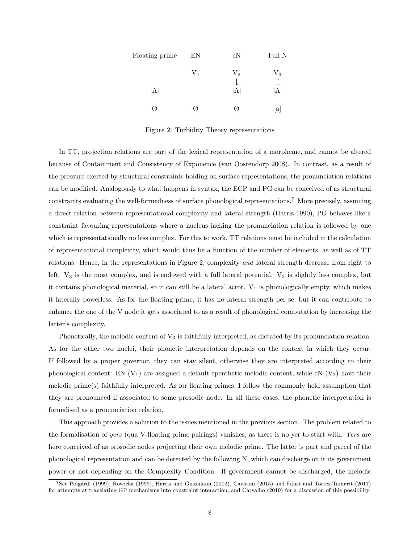| Floating prime | EN    | e <sub>N</sub> | Full N      |
|----------------|-------|----------------|-------------|
|                | $V_1$ | $\rm V_2$      | $V_3$       |
| A              |       | $ {\rm A} $    | $ {\rm A} $ |
|                |       |                | a           |

Figure 2: Turbidity Theory representations

In TT, projection relations are part of the lexical representation of a morpheme, and cannot be altered because of Containment and Consistency of Exponence (van Oostendorp 2008). In contrast, as a result of the pressure exerted by structural constraints holding on surface representations, the pronunciation relations can be modified. Analogously to what happens in syntax, the ECP and PG can be conceived of as structural constraints evaluating the well-formedness of surface phonological representations.<sup>7</sup> More precisely, assuming a direct relation between representational complexity and lateral strength (Harris 1990), PG behaves like a constraint favouring representations where a nucleus lacking the pronunciation relation is followed by one which is representationally no less complex. For this to work, TT relations must be included in the calculation of representational complexity, which would thus be a function of the number of elements, as well as of TT relations. Hence, in the representations in Figure 2, complexity and lateral strength decrease from right to left.  $V_3$  is the most complex, and is endowed with a full lateral potential.  $V_2$  is slightly less complex, but it contains phonological material, so it can still be a lateral actor.  $V_1$  is phonologically empty, which makes it laterally powerless. As for the floating prime, it has no lateral strength per se, but it can contribute to enhance the one of the V node it gets associated to as a result of phonological computation by increasing the latter's complexity.

Phonetically, the melodic content of  $V_3$  is faithfully interpreted, as dictated by its pronunciation relation. As for the other two nuclei, their phonetic interpretation depends on the context in which they occur. If followed by a proper governor, they can stay silent, otherwise they are interpreted according to their phonological content: EN  $(V_1)$  are assigned a default epenthetic melodic content, while eN  $(V_2)$  have their melodic prime(s) faithfully interpreted. As for floating primes, I follow the commonly held assumption that they are pronounced if associated to some prosodic node. In all these cases, the phonetic interpretation is formalised as a pronunciation relation.

This approach provides a solution to the issues mentioned in the previous section. The problem related to the formalisation of yers (qua V-floating prime pairings) vanishes, as there is no yer to start with. Yers are here conceived of as prosodic nodes projecting their own melodic prime. The latter is part and parcel of the phonological representation and can be detected by the following N, which can discharge on it its government power or not depending on the Complexity Condition. If government cannot be discharged, the melodic

<sup>7</sup>See Polgárdi (1999), Rowicka (1999), Harris and Gussmann (2002), Cavirani (2015) and Faust and Torres-Tamarit (2017) for attempts at translating GP mechanisms into constraint interaction, and Carvalho (2019) for a discussion of this possibility.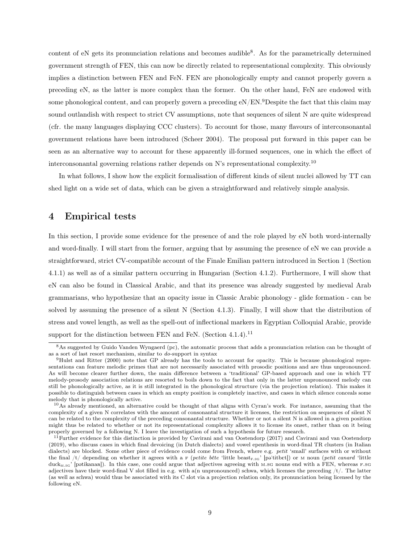content of eN gets its pronunciation relations and becomes audible<sup>8</sup>. As for the parametrically determined government strength of FEN, this can now be directly related to representational complexity. This obviously implies a distinction between FEN and FeN. FEN are phonologically empty and cannot properly govern a preceding eN, as the latter is more complex than the former. On the other hand, FeN are endowed with some phonological content, and can properly govern a preceding  $eN/EN$ <sup>9</sup>Despite the fact that this claim may sound outlandish with respect to strict CV assumptions, note that sequences of silent N are quite widespread (cfr. the many languages displaying CCC clusters). To account for those, many flavours of interconsonantal government relations have been introduced (Scheer 2004). The proposal put forward in this paper can be seen as an alternative way to account for these apparently ill-formed sequences, one in which the effect of interconsonantal governing relations rather depends on N's representational complexity.<sup>10</sup>

In what follows, I show how the explicit formalisation of different kinds of silent nuclei allowed by TT can shed light on a wide set of data, which can be given a straightforward and relatively simple analysis.

## 4 Empirical tests

In this section, I provide some evidence for the presence of and the role played by eN both word-internally and word-finally. I will start from the former, arguing that by assuming the presence of eN we can provide a straightforward, strict CV-compatible account of the Finale Emilian pattern introduced in Section 1 (Section 4.1.1) as well as of a similar pattern occurring in Hungarian (Section 4.1.2). Furthermore, I will show that eN can also be found in Classical Arabic, and that its presence was already suggested by medieval Arab grammarians, who hypothesize that an opacity issue in Classic Arabic phonology - glide formation - can be solved by assuming the presence of a silent N (Section 4.1.3). Finally, I will show that the distribution of stress and vowel length, as well as the spell-out of inflectional markers in Egyptian Colloquial Arabic, provide support for the distinction between FEN and FeN. (Section  $4.1.4$ ).<sup>11</sup>

<sup>&</sup>lt;sup>8</sup>As suggested by Guido Vanden Wyngaerd (pc), the automatic process that adds a pronunciation relation can be thought of as a sort of last resort mechanism, similar to do-support in syntax

<sup>9</sup>Hulst and Ritter (2000) note that GP already has the tools to account for opacity. This is because phonological representations can feature melodic primes that are not necessarily associated with prosodic positions and are thus unpronounced. As will become clearer further down, the main difference between a 'traditional' GP-based approach and one in which TT melody-prosody association relations are resorted to boils down to the fact that only in the latter unpronounced melody can still be phonologically active, as it is still integrated in the phonological structure (via the projection relation). This makes it possible to distinguish between cases in which an empty position is completely inactive, and cases in which silence conceals some melody that is phonologically active.

 $10$ As already mentioned, an alternative could be thought of that aligns with Cyran's work. For instance, assuming that the complexity of a given N correlates with the amount of consonantal structure it licenses, the restriction on sequences of silent N can be related to the complexity of the preceding consonantal structure. Whether or not a silent N is allowed in a given position might thus be related to whether or not its representational complexity allows it to license its onset, rather than on it being properly governed by a following N. I leave the investigation of such a hypothesis for future research.

 $11$ Further evidence for this distinction is provided by Cavirani and van Oostendorp (2017) and Cavirani and van Oostendorp (2019), who discuss cases in which final devoicing (in Dutch dialects) and vowel epenthesis in word-final TR clusters (in Italian dialects) are blocked. Some other piece of evidence could come from French, where e.g. petit 'small' surfaces with or without the final /t/ depending on whether it agrees with a  $F$  (petite bête 'little beast<sub>F.SG</sub>' [pa'titbet]) or M noun (petit canard 'little duck<sub>M.sg</sub>' [patikanaa]). In this case, one could argue that adjectives agreeing with m.sg nouns end with a FEN, whereas  $F.SG$ adjectives have their word-final V slot filled in e.g. with a(n unpronounced) schwa, which licenses the preceding  $/t$ . The latter (as well as schwa) would thus be associated with its C slot via a projection relation only, its pronunciation being licensed by the following eN.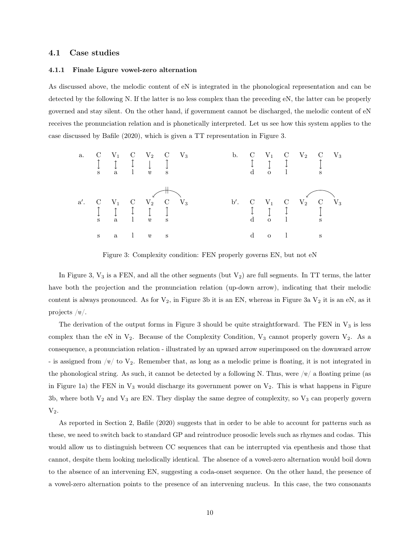### 4.1 Case studies

#### 4.1.1 Finale Ligure vowel-zero alternation

As discussed above, the melodic content of eN is integrated in the phonological representation and can be detected by the following N. If the latter is no less complex than the preceding eN, the latter can be properly governed and stay silent. On the other hand, if government cannot be discharged, the melodic content of eN receives the pronunciation relation and is phonetically interpreted. Let us see how this system applies to the case discussed by Bafile (2020), which is given a TT representation in Figure 3.



Figure 3: Complexity condition: FEN properly governs EN, but not eN

In Figure 3,  $V_3$  is a FEN, and all the other segments (but  $V_2$ ) are full segments. In TT terms, the latter have both the projection and the pronunciation relation (up-down arrow), indicating that their melodic content is always pronounced. As for  $V_2$ , in Figure 3b it is an EN, whereas in Figure 3a  $V_2$  it is an eN, as it projects  $/e/$ .

The derivation of the output forms in Figure 3 should be quite straightforward. The FEN in  $V_3$  is less complex than the eN in  $V_2$ . Because of the Complexity Condition,  $V_3$  cannot properly govern  $V_2$ . As a consequence, a pronunciation relation - illustrated by an upward arrow superimposed on the downward arrow - is assigned from  $\sqrt{e}$  to  $V_2$ . Remember that, as long as a melodic prime is floating, it is not integrated in the phonological string. As such, it cannot be detected by a following N. Thus, were  $/8/$  a floating prime (as in Figure 1a) the FEN in  $V_3$  would discharge its government power on  $V_2$ . This is what happens in Figure 3b, where both  $V_2$  and  $V_3$  are EN. They display the same degree of complexity, so  $V_3$  can properly govern  $V_2$ .

As reported in Section 2, Bafile (2020) suggests that in order to be able to account for patterns such as these, we need to switch back to standard GP and reintroduce prosodic levels such as rhymes and codas. This would allow us to distinguish between CC sequences that can be interrupted via epenthesis and those that cannot, despite them looking melodically identical. The absence of a vowel-zero alternation would boil down to the absence of an intervening EN, suggesting a coda-onset sequence. On the other hand, the presence of a vowel-zero alternation points to the presence of an intervening nucleus. In this case, the two consonants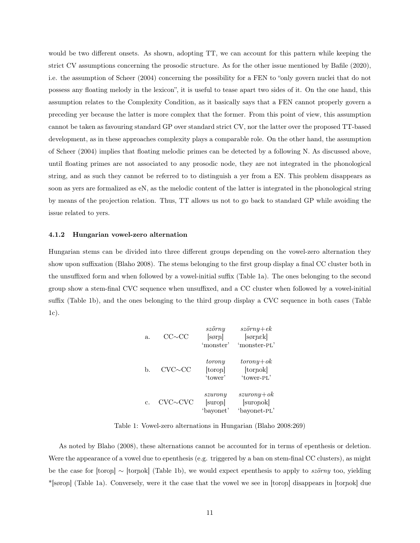would be two different onsets. As shown, adopting TT, we can account for this pattern while keeping the strict CV assumptions concerning the prosodic structure. As for the other issue mentioned by Bafile (2020), i.e. the assumption of Scheer (2004) concerning the possibility for a FEN to "only govern nuclei that do not possess any floating melody in the lexicon", it is useful to tease apart two sides of it. On the one hand, this assumption relates to the Complexity Condition, as it basically says that a FEN cannot properly govern a preceding yer because the latter is more complex that the former. From this point of view, this assumption cannot be taken as favouring standard GP over standard strict CV, nor the latter over the proposed TT-based development, as in these approaches complexity plays a comparable role. On the other hand, the assumption of Scheer (2004) implies that floating melodic primes can be detected by a following N. As discussed above, until floating primes are not associated to any prosodic node, they are not integrated in the phonological string, and as such they cannot be referred to to distinguish a yer from a EN. This problem disappears as soon as yers are formalized as eN, as the melodic content of the latter is integrated in the phonological string by means of the projection relation. Thus, TT allows us not to go back to standard GP while avoiding the issue related to yers.

#### 4.1.2 Hungarian vowel-zero alternation

Hungarian stems can be divided into three different groups depending on the vowel-zero alternation they show upon suffixation (Blaho 2008). The stems belonging to the first group display a final CC cluster both in the unsuffixed form and when followed by a vowel-initial suffix (Table 1a). The ones belonging to the second group show a stem-final CVC sequence when unsuffixed, and a CC cluster when followed by a vowel-initial suffix (Table 1b), and the ones belonging to the third group display a CVC sequence in both cases (Table 1c).

| $a_{\cdot}$ | $CC \sim CC$   | szörny<br>[sørn]<br>'monster'   | $s\ddot{z}\ddot{o}rny+ek$<br>[sørnek]<br>'monster-PL' |
|-------------|----------------|---------------------------------|-------------------------------------------------------|
| b.          | $CVC \sim CC$  | torony<br>[toron]<br>'tower'    | $to rowy + ok$<br>[torpok]<br>'tower-PL'              |
| C.          | $CVC \sim CVC$ | szurony<br>[suron]<br>'bayonet' | $s$ zuron $y+$ ok<br>[suronok]<br>'bayonet-PL'        |

Table 1: Vowel-zero alternations in Hungarian (Blaho 2008:269)

As noted by Blaho (2008), these alternations cannot be accounted for in terms of epenthesis or deletion. Were the appearance of a vowel due to epenthesis (e.g. triggered by a ban on stem-final CC clusters), as might be the case for [toron] ∼ [tornok] (Table 1b), we would expect epenthesis to apply to szörny too, yielding \*[søroñ] (Table 1a). Conversely, were it the case that the vowel we see in [toroñ] disappears in [torñok] due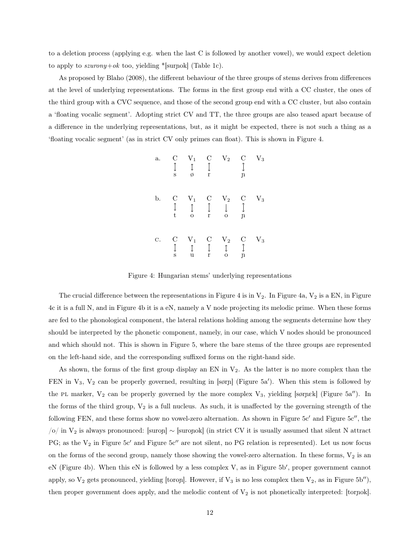to a deletion process (applying e.g. when the last C is followed by another vowel), we would expect deletion to apply to  $szurony+ok$  too, yielding \*[surnok] (Table 1c).

As proposed by Blaho (2008), the different behaviour of the three groups of stems derives from differences at the level of underlying representations. The forms in the first group end with a CC cluster, the ones of the third group with a CVC sequence, and those of the second group end with a CC cluster, but also contain a 'floating vocalic segment'. Adopting strict CV and TT, the three groups are also teased apart because of a difference in the underlying representations, but, as it might be expected, there is not such a thing as a 'floating vocalic segment' (as in strict CV only primes can float). This is shown in Figure 4.

| a. | $\overline{\rm C}$<br>↥<br>S         | $V_1$<br>$\updownarrow$<br>ø              | $\overline{C}$<br>$\downarrow$<br>$\bf r$    | $\mathrm{V}_2$                                  | $\mathcal{C}$<br>$\mathbf{u}$                 | $\mathrm{V}_3$ |
|----|--------------------------------------|-------------------------------------------|----------------------------------------------|-------------------------------------------------|-----------------------------------------------|----------------|
| b. | $\mathcal{C}$<br>$\updownarrow$<br>t | $V_1$<br>$\updownarrow$<br>$\overline{O}$ | $\mathcal{C}$<br>$\downarrow$<br>$\mathbf r$ | $\rm V_2$<br>$\downarrow$<br>$\overline{O}$     | $\mathcal{C}$<br>$\downarrow$<br>$\mathbf{u}$ | $\mathbf{V}_3$ |
| С. | $\mathcal C$<br>$\updownarrow$<br>S  | $\mathbf{V}_1 \\ \updownarrow$<br>u       | $\mathcal{C}$<br>$\downarrow$<br>r           | $\mathbf{V}_2$ $\updownarrow$<br>$\overline{O}$ | $\mathcal{C}$<br>$\downarrow$<br>$\mathbf{u}$ | $\mathbf{V}_3$ |

Figure 4: Hungarian stems' underlying representations

The crucial difference between the representations in Figure 4 is in  $V_2$ . In Figure 4a,  $V_2$  is a EN, in Figure 4c it is a full N, and in Figure 4b it is a eN, namely a V node projecting its melodic prime. When these forms are fed to the phonological component, the lateral relations holding among the segments determine how they should be interpreted by the phonetic component, namely, in our case, which V nodes should be pronounced and which should not. This is shown in Figure 5, where the bare stems of the three groups are represented on the left-hand side, and the corresponding suffixed forms on the right-hand side.

As shown, the forms of the first group display an EN in  $V_2$ . As the latter is no more complex than the FEN in  $V_3$ ,  $V_2$  can be properly governed, resulting in [sørn] (Figure 5a'). When this stem is followed by the PL marker,  $V_2$  can be properly governed by the more complex  $V_3$ , yielding [sørnek] (Figure 5a''). In the forms of the third group,  $V_2$  is a full nucleus. As such, it is unaffected by the governing strength of the following FEN, and these forms show no vowel-zero alternation. As shown in Figure 5c′ and Figure 5c′′, the  $/o$  in V<sub>2</sub> is always pronounced: [suron] ∼ [suronok] (in strict CV it is usually assumed that silent N attract PG; as the  $V_2$  in Figure 5c' and Figure 5c'' are not silent, no PG relation is represented). Let us now focus on the forms of the second group, namely those showing the vowel-zero alternation. In these forms,  $V_2$  is an eN (Figure 4b). When this eN is followed by a less complex V, as in Figure 5b′ , proper government cannot apply, so  $V_2$  gets pronounced, yielding [toron]. However, if  $V_3$  is no less complex then  $V_2$ , as in Figure 5b''), then proper government does apply, and the melodic content of  $V_2$  is not phonetically interpreted: [tornok].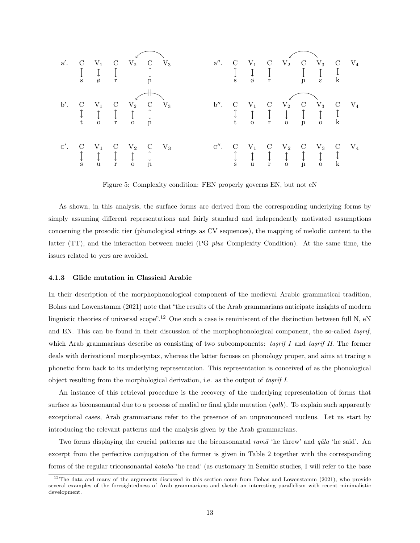

Figure 5: Complexity condition: FEN properly governs EN, but not eN

As shown, in this analysis, the surface forms are derived from the corresponding underlying forms by simply assuming different representations and fairly standard and independently motivated assumptions concerning the prosodic tier (phonological strings as CV sequences), the mapping of melodic content to the latter (TT), and the interaction between nuclei (PG plus Complexity Condition). At the same time, the issues related to yers are avoided.

#### 4.1.3 Glide mutation in Classical Arabic

In their description of the morphophonological component of the medieval Arabic grammatical tradition, Bohas and Lowenstamm (2021) note that "the results of the Arab grammarians anticipate insights of modern linguistic theories of universal scope".<sup>12</sup> One such a case is reminiscent of the distinction between full N, eN and EN. This can be found in their discussion of the morphophonological component, the so-called tasrif, ˙ which Arab grammarians describe as consisting of two subcomponents:  $\iota \text{asrif } I$  and  $\iota \text{asrif } II$ . The former ˙ ˙ deals with derivational morphosyntax, whereas the latter focuses on phonology proper, and aims at tracing a phonetic form back to its underlying representation. This representation is conceived of as the phonological object resulting from the morphological derivation, i.e. as the output of tas ˙  $r\bar{t}$ f I.

An instance of this retrieval procedure is the recovery of the underlying representation of forms that surface as biconsonantal due to a process of medial or final glide mutation  $(qalb)$ . To explain such apparently exceptional cases, Arab grammarians refer to the presence of an unpronounced nucleus. Let us start by introducing the relevant patterns and the analysis given by the Arab grammarians.

Two forms displaying the crucial patterns are the biconsonantal ram $\bar{a}$  'he threw' and  $q\bar{a}la$  'he said'. An excerpt from the perfective conjugation of the former is given in Table 2 together with the corresponding forms of the regular triconsonantal kataba 'he read' (as customary in Semitic studies, I will refer to the base

<sup>&</sup>lt;sup>12</sup>The data and many of the arguments discussed in this section come from Bohas and Lowenstamm (2021), who provide several examples of the foresightedness of Arab grammarians and sketch an interesting parallelism with recent minimalistic development.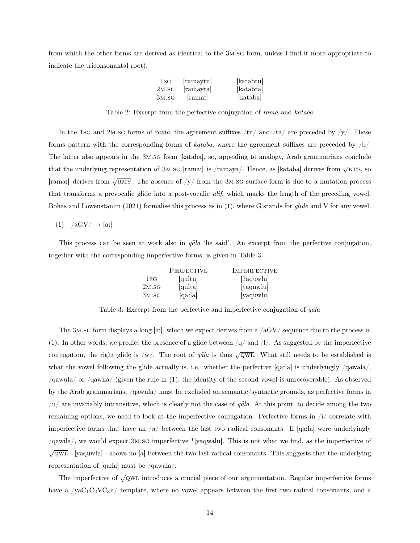from which the other forms are derived as identical to the 3m.sg form, unless I find it more appropriate to indicate the triconsonantal root).

| $1_{\rm SG}$ | ramaytu | [katabtu] |
|--------------|---------|-----------|
| 2M.SG        | ramayta | katabta   |
| 3M.SG        | rama:   | kataba    |

Table 2: Excerpt from the perfective conjugation of  $ram\bar{a}$  and  $kataba$ 

In the 1sg and 2m.sg forms of ram $\bar{a}$ , the agreement suffixes /tu/ and /ta/ are preceded by /y/. These forms pattern with the corresponding forms of kataba, where the agreement suffixes are preceded by  $/b/$ . The latter also appears in the 3m.sg form [kataba], so, appealing to analogy, Arab grammarians conclude that the underlying representation of 3M.sG [rama:] is /ramaya/. Hence, as [kataba] derives from  $\sqrt{KTB}$ , so [rama:] derives from  $\sqrt{RMY}$ . The absence of /y/ from the 3M.sG surface form is due to a mutation process that transforms a prevocalic glide into a post-vocalic *alif*, which marks the length of the preceding vowel. Bohas and Lowenstamm (2021) formalise this process as in (1), where G stands for *glide* and V for any vowel.

### $(1)$  /aGV/  $\rightarrow$  [a:]

This process can be seen at work also in  $q\bar{a}la$  'he said'. An excerpt from the perfective conjugation, together with the corresponding imperfective forms, is given in Table 3 .

|              | PERFECTIVE | <b>IMPERFECTIVE</b> |
|--------------|------------|---------------------|
| $1_{\rm SG}$ | qultu      | [?aquwlu]           |
| 2M.SG        | qulta      | taquwlu             |
| 3M.SG        | [qaːla]    | [yaquwlu]           |

Table 3: Excerpt from the perfective and imperfective conjugation of  $q\bar{a}la$ 

The 3M.sg form displays a long [a:], which we expect derives from a  $\rm/aGV/$  sequence due to the process in (1). In other words, we predict the presence of a glide between  $/q$  and  $/l$ . As suggested by the imperfective conjugation, the right glide is /w/. The root of  $q\bar{a}l\bar{a}$  is thus  $\sqrt{\text{QWL}}$ . What still needs to be established is what the vowel following the glide actually is, i.e. whether the perfective  $[qa:1a]$  is underlyingly  $/qa$ wala $/$ , /qawula/ or /qawila/ (given the rule in (1), the identity of the second vowel is unrecoverable). As observed by the Arab grammarians, /qawula/ must be excluded on semantic/syntactic grounds, as perfective forms in  $/u$  are invariably intransitive, which is clearly not the case of *q* $\bar{a}$ la. At this point, to decide among the two remaining options, we need to look at the imperfective conjugation. Perfective forms in  $\pi/2$  correlate with imperfective forms that have an  $\frac{a}{b}$  between the last two radical consonants. If [qa:la] were underlyingly /qawila/, we would expect 3m.sg imperfective \*[yaqwalu]. This is not what we find, as the imperfective of  $\sqrt{\text{QWL}}$  - [yaquwlu] - shows no [a] between the two last radical consonants. This suggests that the underlying representation of [qa:la] must be /qawala/.

The imperfective of  $\sqrt{\text{QWL}}$  introduces a crucial piece of our argumentation. Regular imperfective forms have a  $yaC_1C_2VC_3u$  template, where no vowel appears between the first two radical consonants, and a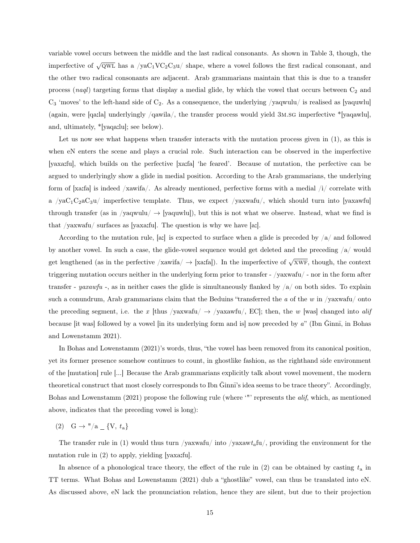variable vowel occurs between the middle and the last radical consonants. As shown in Table 3, though, the imperfective of  $\sqrt{\text{QWL}}$  has a  $/\text{yaC}_1\text{VC}_2\text{C}_3\text{u}/\text{ shape}$ , where a vowel follows the first radical consonant, and the other two radical consonants are adjacent. Arab grammarians maintain that this is due to a transfer process (naql) targeting forms that display a medial glide, by which the vowel that occurs between  $C_2$  and  $C_3$  'moves' to the left-hand side of  $C_2$ . As a consequence, the underlying /yaqwulu/ is realised as [yaquwlu] (again, were [qa:la] underlyingly /qawila/, the transfer process would yield 3m.sg imperfective \*[yaqawlu], and, ultimately, \*[yaqa:lu]; see below).

Let us now see what happens when transfer interacts with the mutation process given in (1), as this is when eN enters the scene and plays a crucial role. Such interaction can be observed in the imperfective [yaxa:fu], which builds on the perfective [xa:fa] 'he feared'. Because of mutation, the perfective can be argued to underlyingly show a glide in medial position. According to the Arab grammarians, the underlying form of [xa:fa] is indeed /xawifa/. As already mentioned, perfective forms with a medial  $\frac{1}{l}$  correlate with a /yaC<sub>1</sub>C<sub>2</sub>aC<sub>3</sub>u/ imperfective template. Thus, we expect /yaxwafu/, which should turn into [yaxawfu] through transfer (as in /yaqwulu/  $\rightarrow$  |yaquwlu|), but this is not what we observe. Instead, what we find is that /yaxwafu/ surfaces as [yaxa:fu]. The question is why we have [a:].

According to the mutation rule, [a:] is expected to surface when a glide is preceded by  $\frac{1}{4}$  and followed by another vowel. In such a case, the glide-vowel sequence would get deleted and the preceding  $\alpha$  would get lengthened (as in the perfective /xawifa/  $\rightarrow$  [xa:fa]). In the imperfective of  $\sqrt{\text{XWF}}$ , though, the context triggering mutation occurs neither in the underlying form prior to transfer - /yaxwafu/ - nor in the form after transfer -  $yaxawfu$ , as in neither cases the glide is simultaneously flanked by  $\frac{a}{a}$  on both sides. To explain such a conundrum, Arab grammarians claim that the Beduins "transferred the  $a$  of the  $w$  in /yaxwafu/ onto the preceding segment, i.e. the x [thus /yaxwafu/  $\rightarrow$  /yaxawfu/, EC]; then, the w [was] changed into alif because [it was] followed by a vowel [in its underlying form and is] now preceded by  $a^{\prime\prime}$  (Ibn  $\tilde{G}$ inn $\bar{n}$ , in Bohas and Lowenstamm 2021).

In Bohas and Lowenstamm (2021)'s words, thus, "the vowel has been removed from its canonical position, yet its former presence somehow continues to count, in ghostlike fashion, as the righthand side environment of the [mutation] rule [...] Because the Arab grammarians explicitly talk about vowel movement, the modern theoretical construct that most closely corresponds to Ibn  $\overline{\text{Ginn}}$  is idea seems to be trace theory". Accordingly, Bohas and Lowenstamm (2021) propose the following rule (where '"' represents the alif, which, as mentioned above, indicates that the preceding vowel is long):

(2) G  $\rightarrow$  "/a  $\left[ \frac{\text{V}}{\text{s}} , t_{\text{a}} \right]$ 

The transfer rule in (1) would thus turn /yaxwafu/ into /yaxaw $t_a$ fu/, providing the environment for the mutation rule in (2) to apply, yielding [yaxa:fu].

In absence of a phonological trace theory, the effect of the rule in  $(2)$  can be obtained by casting  $t_a$  in TT terms. What Bohas and Lowenstamm (2021) dub a "ghostlike" vowel, can thus be translated into eN. As discussed above, eN lack the pronunciation relation, hence they are silent, but due to their projection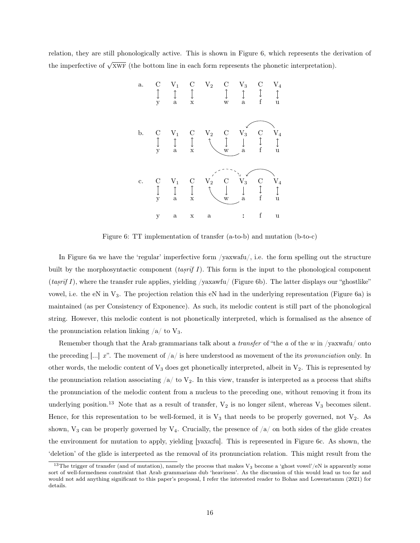relation, they are still phonologically active. This is shown in Figure 6, which represents the derivation of the imperfective of  $\sqrt{\text{XWF}}$  (the bottom line in each form represents the phonetic interpretation).



Figure 6: TT implementation of transfer (a-to-b) and mutation (b-to-c)

In Figure 6a we have the 'regular' imperfective form /yaxwafu/, i.e. the form spelling out the structure built by the morphosyntactic component  $(tas\bar{r}\bar{f}I)$ . This form is the input to the phonological component ˙  $(tasr\bar{t}I)$ , where the transfer rule applies, yielding /yaxawfu/ (Figure 6b). The latter displays our "ghostlike" ˙ vowel, i.e. the eN in  $V_3$ . The projection relation this eN had in the underlying representation (Figure 6a) is maintained (as per Consistency of Exponence). As such, its melodic content is still part of the phonological string. However, this melodic content is not phonetically interpreted, which is formalised as the absence of the pronunciation relation linking  $/a/$  to  $V_3$ .

Remember though that the Arab grammarians talk about a *transfer* of "the  $a$  of the  $w$  in /yaxwafu/ onto the preceding  $[\ldots]$  x". The movement of  $\langle a \rangle$  is here understood as movement of the its *pronunciation* only. In other words, the melodic content of  $V_3$  does get phonetically interpreted, albeit in  $V_2$ . This is represented by the pronunciation relation associating  $/a$  to  $V_2$ . In this view, transfer is interpreted as a process that shifts the pronunciation of the melodic content from a nucleus to the preceding one, without removing it from its underlying position.<sup>13</sup> Note that as a result of transfer,  $V_2$  is no longer silent, whereas  $V_3$  becomes silent. Hence, for this representation to be well-formed, it is  $V_3$  that needs to be properly governed, not  $V_2$ . As shown,  $V_3$  can be properly governed by  $V_4$ . Crucially, the presence of  $/a/$  on both sides of the glide creates the environment for mutation to apply, yielding [yaxa:fu]. This is represented in Figure 6c. As shown, the 'deletion' of the glide is interpreted as the removal of its pronunciation relation. This might result from the

<sup>&</sup>lt;sup>13</sup>The trigger of transfer (and of mutation), namely the process that makes V<sub>3</sub> become a 'ghost vowel'/eN is apparently some sort of well-formedness constraint that Arab grammarians dub 'heaviness'. As the discussion of this would lead us too far and would not add anything significant to this paper's proposal, I refer the interested reader to Bohas and Lowenstamm (2021) for details.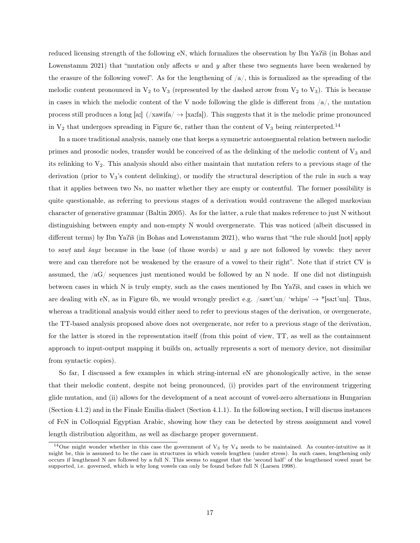reduced licensing strength of the following eN, which formalizes the observation by Ibn Ya? $\overline{a}$ s (in Bohas and Lowenstamm 2021) that "mutation only affects w and y after these two segments have been weakened by the erasure of the following vowel". As for the lengthening of  $\langle a \rangle$ , this is formalized as the spreading of the melodic content pronounced in  $V_2$  to  $V_3$  (represented by the dashed arrow from  $V_2$  to  $V_3$ ). This is because in cases in which the melodic content of the V node following the glide is different from  $\sqrt{a}$ , the mutation process still produces a long [a:]  $(\overline{\ }x)$   $(\overline{\ }x)$   $(\overline{\ }x)$   $(\overline{\ }x)$   $(\overline{\ }x)$   $(\overline{\ }x)$   $(\overline{\ }x)$   $(\overline{\ }x)$   $(\overline{\ }x)$   $(\overline{\ }x)$   $(\overline{\ }x)$   $(\overline{\ }x)$   $(\overline{\ }x)$   $(\overline{\ }x)$   $(\overline{\ }x)$   $(\overline{\ }x)$   $(\overline{\ }x)$   $(\overline{\ }x)$   $(\overline{\ }$ in  $V_2$  that undergoes spreading in Figure 6c, rather than the content of  $V_3$  being reinterpreted.<sup>14</sup>

In a more traditional analysis, namely one that keeps a symmetric autosegmental relation between melodic primes and prosodic nodes, transfer would be conceived of as the delinking of the melodic content of  $V_3$  and its relinking to  $V_2$ . This analysis should also either maintain that mutation refers to a previous stage of the derivation (prior to V3's content delinking), or modify the structural description of the rule in such a way that it applies between two Ns, no matter whether they are empty or contentful. The former possibility is quite questionable, as referring to previous stages of a derivation would contravene the alleged markovian character of generative grammar (Baltin 2005). As for the latter, a rule that makes reference to just N without distinguishing between empty and non-empty N would overgenerate. This was noticed (albeit discussed in different terms) by Ibn Ya $T\ddot{\rm a}$  (in Bohas and Lowenstamm 2021), who warns that "the rule should [not] apply to sawt ˙ and  $\check{s}ayx$  because in the base (of those words) w and y are not followed by vowels: they never were and can therefore not be weakened by the erasure of a vowel to their right". Note that if strict CV is assumed, the  $aG$  sequences just mentioned would be followed by an N node. If one did not distinguish between cases in which  $N$  is truly empty, such as the cases mentioned by Ibn Ya $T\ddot{s}$ , and cases in which we are dealing with eN, as in Figure 6b, we would wrongly predict e.g.  $/\text{sawt'un}/\text{`whips'} \rightarrow$  \*[sa:t'un]. Thus, whereas a traditional analysis would either need to refer to previous stages of the derivation, or overgenerate, the TT-based analysis proposed above does not overgenerate, nor refer to a previous stage of the derivation, for the latter is stored in the representation itself (from this point of view, TT, as well as the containment approach to input-output mapping it builds on, actually represents a sort of memory device, not dissimilar from syntactic copies).

So far, I discussed a few examples in which string-internal eN are phonologically active, in the sense that their melodic content, despite not being pronounced, (i) provides part of the environment triggering glide mutation, and (ii) allows for the development of a neat account of vowel-zero alternations in Hungarian (Section 4.1.2) and in the Finale Emilia dialect (Section 4.1.1). In the following section, I will discuss instances of FeN in Colloquial Egyptian Arabic, showing how they can be detected by stress assignment and vowel length distribution algorithm, as well as discharge proper government.

<sup>&</sup>lt;sup>14</sup>One might wonder whether in this case the government of  $V_3$  by  $V_4$  needs to be maintained. As counter-intuitive as it might be, this is assumed to be the case in structures in which vowels lengthen (under stress). In such cases, lengthening only occurs if lengthened N are followed by a full N. This seems to suggest that the 'second half' of the lengthened vowel must be supported, i.e. governed, which is why long vowels can only be found before full N (Larsen 1998).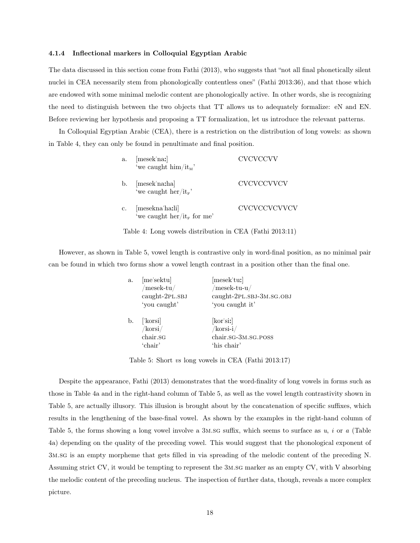#### 4.1.4 Inflectional markers in Colloquial Egyptian Arabic

The data discussed in this section come from Fathi (2013), who suggests that "not all final phonetically silent nuclei in CEA necessarily stem from phonologically contentless ones" (Fathi 2013:36), and that those which are endowed with some minimal melodic content are phonologically active. In other words, she is recognizing the need to distinguish between the two objects that TT allows us to adequately formalize: eN and EN. Before reviewing her hypothesis and proposing a TT formalization, let us introduce the relevant patterns.

In Colloquial Egyptian Arabic (CEA), there is a restriction on the distribution of long vowels: as shown in Table 4, they can only be found in penultimate and final position.

| a.             | [mesek nax]<br>'we caught $\lim/\mathrm{it}_{M}$          | CVCVCCVV     |
|----------------|-----------------------------------------------------------|--------------|
| $\mathbf{b}$ . | [mesek natha]<br>'we caught her/it <sub>F</sub> '         | CVCVCCVVCV   |
| c.             | [mesekna'ha:li]<br>'we caught her/it <sub>F</sub> for me' | CVCVCCVCVVCV |



However, as shown in Table 5, vowel length is contrastive only in word-final position, as no minimal pair can be found in which two forms show a vowel length contrast in a position other than the final one.

| a. | [me'sektu]<br>$/mesek-tu/$<br>caught-2PL.SBJ | [mesek'tuː]<br>$/mesek-tu-u/$<br>caught-2PL.SBJ-3M.SG.OBJ               |
|----|----------------------------------------------|-------------------------------------------------------------------------|
|    | 'you caught'                                 | 'you caught it'                                                         |
| b. | ['korsi]<br>/korsi/<br>chair.sG<br>'chair'   | $[\text{kor'sir}]$<br>$/korsi-i/$<br>chair.sG-3M.sG.POSS<br>'his chair' |

Table 5: Short vs long vowels in CEA (Fathi 2013:17)

Despite the appearance, Fathi (2013) demonstrates that the word-finality of long vowels in forms such as those in Table 4a and in the right-hand column of Table 5, as well as the vowel length contrastivity shown in Table 5, are actually illusory. This illusion is brought about by the concatenation of specific suffixes, which results in the lengthening of the base-final vowel. As shown by the examples in the right-hand column of Table 5, the forms showing a long vowel involve a  $3M.SG$  suffix, which seems to surface as  $u, i$  or a (Table 4a) depending on the quality of the preceding vowel. This would suggest that the phonological exponent of 3m.sg is an empty morpheme that gets filled in via spreading of the melodic content of the preceding N. Assuming strict CV, it would be tempting to represent the 3m.sg marker as an empty CV, with V absorbing the melodic content of the preceding nucleus. The inspection of further data, though, reveals a more complex picture.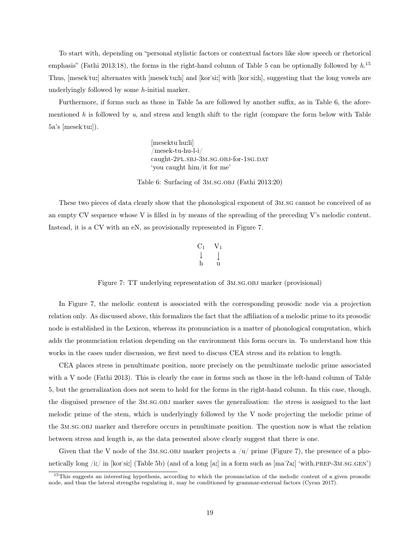To start with, depending on "personal stylistic factors or contextual factors like slow speech or rhetorical emphasis" (Fathi 2013:18), the forms in the right-hand column of Table 5 can be optionally followed by  $h$ <sup>15</sup> Thus, [mesek"tu:] alternates with [mesek"tu:h] and [kor"si:] with [kor"si:h], suggesting that the long vowels are underlyingly followed by some h-initial marker.

Furthermore, if forms such as those in Table 5a are followed by another suffix, as in Table 6, the aforementioned h is followed by u, and stress and length shift to the right (compare the form below with Table  $5a$ 's  $[mesek'tu:$ ]).

> [mesektu"hu:li] /mesek-tu-hu-l-i/ caught-2pl.sbJ-3m.sg.obJ-for-1sg.DAT 'you caught him/it for me'

Table 6: Surfacing of 3m.sg.obj (Fathi 2013:20)

These two pieces of data clearly show that the phonological exponent of 3m.sg cannot be conceived of as an empty CV sequence whose V is filled in by means of the spreading of the preceding V's melodic content. Instead, it is a CV with an eN, as provisionally represented in Figure 7.

$$
\begin{matrix}C_1 & V_1\\ \downarrow & \downarrow\\ h & u\end{matrix}
$$

Figure 7: TT underlying representation of  $3M.SG.OBJ$  marker (provisional)

In Figure 7, the melodic content is associated with the corresponding prosodic node via a projection relation only. As discussed above, this formalizes the fact that the affiliation of a melodic prime to its prosodic node is established in the Lexicon, whereas its pronunciation is a matter of phonological computation, which adds the pronunciation relation depending on the environment this form occurs in. To understand how this works in the cases under discussion, we first need to discuss CEA stress and its relation to length.

CEA places stress in penultimate position, more precisely on the penultimate melodic prime associated with a V node (Fathi 2013). This is clearly the case in forms such as those in the left-hand column of Table 5, but the generalization does not seem to hold for the forms in the right-hand column. In this case, though, the disguised presence of the 3m.sg.obj marker saves the generalisation: the stress is assigned to the last melodic prime of the stem, which is underlyingly followed by the V node projecting the melodic prime of the 3m.sg.obj marker and therefore occurs in penultimate position. The question now is what the relation between stress and length is, as the data presented above clearly suggest that there is one.

Given that the V node of the 3M.SG.OBJ marker projects a  $\mu$  prime (Figure 7), the presence of a phonetically long /i:/ in  $\kappa$  | (Table 5b) (and of a long [a:] in a form such as  $\kappa$  |  $\kappa$  |  $\kappa$  |  $\kappa$  |  $\kappa$  |  $\kappa$  |  $\kappa$  |  $\kappa$  |  $\kappa$  |  $\kappa$  |  $\kappa$  |  $\kappa$  |  $\kappa$  |  $\kappa$  |  $\kappa$  |  $\kappa$  |  $\kappa$  |  $\kappa$ 

<sup>&</sup>lt;sup>15</sup>This suggests an interesting hypothesis, according to which the pronunciation of the melodic content of a given prosodic node, and thus the lateral strengths regulating it, may be conditioned by grammar-external factors (Cyran 2017).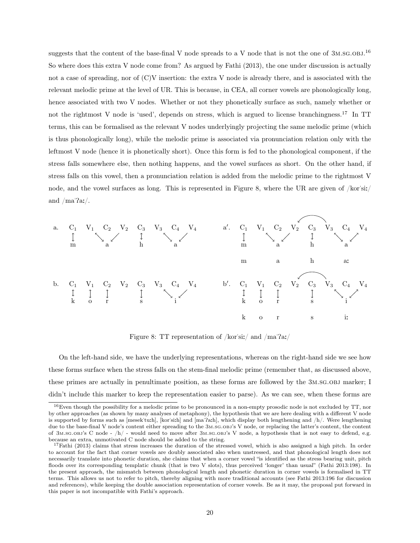suggests that the content of the base-final V node spreads to a V node that is not the one of  $3M.SG.OBJ.<sup>16</sup>$ So where does this extra V node come from? As argued by Fathi (2013), the one under discussion is actually not a case of spreading, nor of (C)V insertion: the extra V node is already there, and is associated with the relevant melodic prime at the level of UR. This is because, in CEA, all corner vowels are phonologically long, hence associated with two V nodes. Whether or not they phonetically surface as such, namely whether or not the rightmost V node is 'used', depends on stress, which is argued to license branchingness.<sup>17</sup> In TT terms, this can be formalised as the relevant V nodes underlyingly projecting the same melodic prime (which is thus phonologically long), while the melodic prime is associated via pronunciation relation only with the leftmost V node (hence it is phonetically short). Once this form is fed to the phonological component, if the stress falls somewhere else, then nothing happens, and the vowel surfaces as short. On the other hand, if stress falls on this vowel, then a pronunciation relation is added from the melodic prime to the rightmost V node, and the vowel surfaces as long. This is represented in Figure 8, where the UR are given of /kor'si:/ and  $/ma'$ a: $/$ .



Figure 8: TT representation of /kor'si:/ and /ma'?a:/

On the left-hand side, we have the underlying representations, whereas on the right-hand side we see how these forms surface when the stress falls on the stem-final melodic prime (remember that, as discussed above, these primes are actually in penultimate position, as these forms are followed by the 3m.sg.obj marker; I didn't include this marker to keep the representation easier to parse). As we can see, when these forms are

<sup>16</sup>Even though the possibility for a melodic prime to be pronounced in a non-empty prosodic node is not excluded by TT, nor by other approaches (as shown by many analyses of metaphony), the hypothesis that we are here dealing with a different V node is supported by forms such as  $[mesek'tu:h]$ ,  $[kor's:h]$  and  $[ma'2a:h]$ , which display both lengthening and  $/h$ . Were lengthening due to the base-final V node's content either spreading to the 3m.sg.obj's V node, or replacing the latter's content, the content of 3m.sg.obj's C node - /h/ - would need to move after 3m.sg.obj's V node, a hypothesis that is not easy to defend, e.g. because an extra, unmotivated C node should be added to the string.

 $17$ Fathi (2013) claims that stress increases the duration of the stressed vowel, which is also assigned a high pitch. In order to account for the fact that corner vowels are doubly associated also when unstressed, and that phonological length does not necessarily translate into phonetic duration, she claims that when a corner vowel "is identified as the stress bearing unit, pitch floods over its corresponding templatic chunk (that is two V slots), thus perceived 'longer' than usual" (Fathi 2013:198). In the present approach, the mismatch between phonological length and phonetic duration in corner vowels is formalised in TT terms. This allows us not to refer to pitch, thereby aligning with more traditional accounts (see Fathi 2013:196 for discussion and references), while keeping the double association representation of corner vowels. Be as it may, the proposal put forward in this paper is not incompatible with Fathi's approach.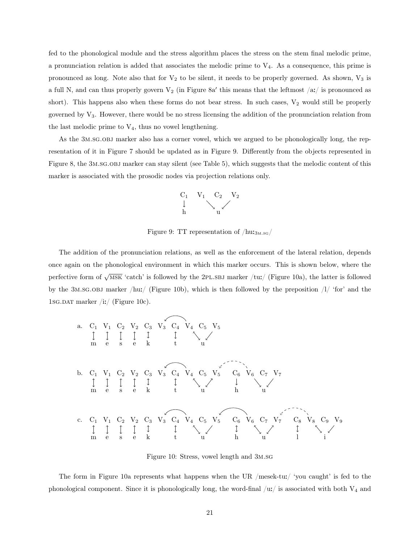fed to the phonological module and the stress algorithm places the stress on the stem final melodic prime, a pronunciation relation is added that associates the melodic prime to  $V_4$ . As a consequence, this prime is pronounced as long. Note also that for  $V_2$  to be silent, it needs to be properly governed. As shown,  $V_3$  is a full N, and can thus properly govern  $V_2$  (in Figure 8a' this means that the leftmost  $/a$ :/ is pronounced as short). This happens also when these forms do not bear stress. In such cases,  $V_2$  would still be properly governed by  $V_3$ . However, there would be no stress licensing the addition of the pronunciation relation from the last melodic prime to  $V_4$ , thus no vowel lengthening.

As the 3m.sg.obj marker also has a corner vowel, which we argued to be phonologically long, the representation of it in Figure 7 should be updated as in Figure 9. Differently from the objects represented in Figure 8, the 3m.sg.obj marker can stay silent (see Table 5), which suggests that the melodic content of this marker is associated with the prosodic nodes via projection relations only.



Figure 9: TT representation of  $/\text{hu}$ :<sub>3M.sg</sub>/

The addition of the pronunciation relations, as well as the enforcement of the lateral relation, depends once again on the phonological environment in which this marker occurs. This is shown below, where the perfective form of  $\sqrt{\text{MSK}}$  'catch' is followed by the 2PL.SBJ marker /tu:/ (Figure 10a), the latter is followed by the 3M.sg.obj marker /hu:/ (Figure 10b), which is then followed by the preposition  $/1/$  'for' and the 1sg.dat marker /i:/ (Figure 10c).



Figure 10: Stress, vowel length and 3m.sg

The form in Figure 10a represents what happens when the UR /mesek-tu:/ 'you caught' is fed to the phonological component. Since it is phonologically long, the word-final  $/u$ :/ is associated with both  $V_4$  and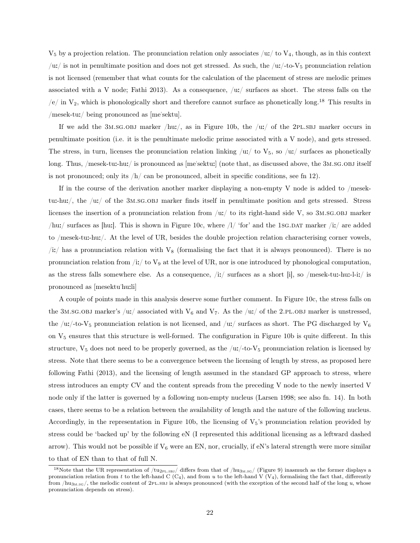$V_5$  by a projection relation. The pronunciation relation only associates /u:/ to  $V_4$ , though, as in this context  $/u$ :/ is not in penultimate position and does not get stressed. As such, the  $/u$ :/-to-V<sub>5</sub> pronunciation relation is not licensed (remember that what counts for the calculation of the placement of stress are melodic primes associated with a V node; Fathi 2013). As a consequence,  $\langle u \rangle$  surfaces as short. The stress falls on the  $/e/$  in  $V_2$ , which is phonologically short and therefore cannot surface as phonetically long.<sup>18</sup> This results in /mesek-tu:/ being pronounced as [me"sektu].

If we add the  $3M.SG.OBJ$  marker /hu:/, as in Figure 10b, the /u:/ of the 2PLSBJ marker occurs in penultimate position (i.e. it is the penultimate melodic prime associated with a V node), and gets stressed. The stress, in turn, licenses the pronunciation relation linking  $\langle u \rangle$  to  $V_5$ , so  $\langle u \rangle$  surfaces as phonetically long. Thus, /mesek-tu:-hu:/ is pronounced as [me"sektu:] (note that, as discussed above, the 3m.sg.obj itself is not pronounced; only its  $/h/$  can be pronounced, albeit in specific conditions, see fn 12).

If in the course of the derivation another marker displaying a non-empty V node is added to /mesektu:-hu:/, the /u:/ of the 3m.sg.obj marker finds itself in penultimate position and gets stressed. Stress licenses the insertion of a pronunciation relation from  $/u$ : to its right-hand side V, so 3M.sg.obj marker /hu:/ surfaces as [hu:]. This is shown in Figure 10c, where  $/1/$  'for' and the 1sg.DAT marker  $/1/$  are added to /mesek-tu:-hu:/. At the level of UR, besides the double projection relation characterising corner vowels,  $\langle i \rangle$ :/ has a pronunciation relation with V<sub>8</sub> (formalising the fact that it is always pronounced). There is no pronunciation relation from  $\langle i \rangle$  to  $V_9$  at the level of UR, nor is one introduced by phonological computation, as the stress falls somewhere else. As a consequence,  $\langle i \rangle$  surfaces as a short [i], so  $/m$ esek-tu:-hu:-l-i:/ is pronounced as [mesektu"hu:li]

A couple of points made in this analysis deserve some further comment. In Figure 10c, the stress falls on the 3M.SG.OBJ marker's /u:/ associated with  $V_6$  and  $V_7$ . As the /u:/ of the 2.PL.OBJ marker is unstressed, the /u:/-to-V<sub>5</sub> pronunciation relation is not licensed, and /u:/ surfaces as short. The PG discharged by V<sub>6</sub> on V<sup>5</sup> ensures that this structure is well-formed. The configuration in Figure 10b is quite different. In this structure,  $V_5$  does not need to be properly governed, as the  $/u$ :/-to- $V_5$  pronunciation relation is licensed by stress. Note that there seems to be a convergence between the licensing of length by stress, as proposed here following Fathi (2013), and the licensing of length assumed in the standard GP approach to stress, where stress introduces an empty CV and the content spreads from the preceding V node to the newly inserted V node only if the latter is governed by a following non-empty nucleus (Larsen 1998; see also fn. 14). In both cases, there seems to be a relation between the availability of length and the nature of the following nucleus. Accordingly, in the representation in Figure 10b, the licensing of  $V_5$ 's pronunciation relation provided by stress could be 'backed up' by the following eN (I represented this additional licensing as a leftward dashed arrow). This would not be possible if  $V_6$  were an EN, nor, crucially, if eN's lateral strength were more similar to that of EN than to that of full N.

<sup>&</sup>lt;sup>18</sup>Note that the UR representation of /tu<sub>2PL.SBJ</sub>/ differs from that of /hu<sub>3M.sc</sub>/ (Figure 9) inasmuch as the former displays a pronunciation relation from t to the left-hand C (C<sub>4</sub>), and from u to the left-hand V (V<sub>4</sub>), formalising the fact that, differently from  $/\text{hu}_{3\text{M.SG}}/$ , the melodic content of 2pl.sb is always pronounced (with the exception of the second half of the long u, whose pronunciation depends on stress).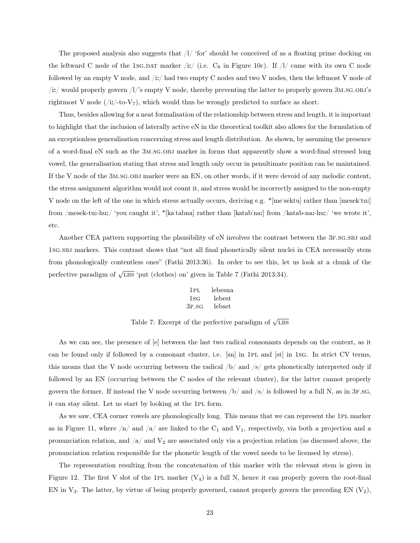The proposed analysis also suggests that  $/1/$  'for' should be conceived of as a floating prime docking on the leftward C node of the 1sg.Dat marker /i:/ (i.e.  $C_8$  in Figure 10c). If /l/ came with its own C node followed by an empty V node, and  $/iz/$  had two empty C nodes and two V nodes, then the leftmost V node of /i:/ would properly govern /l/'s empty V node, thereby preventing the latter to properly govern 3m.sg.obj's rightmost V node  $(i\mathbf{i}/-\mathbf{to}\mathbf{V}_7)$ , which would thus be wrongly predicted to surface as short.

Thus, besides allowing for a neat formalisation of the relationship between stress and length, it is important to highlight that the inclusion of laterally active eN in the theoretical toolkit also allows for the formulation of an exceptionless generalisation concerning stress and length distribution. As shown, by assuming the presence of a word-final eN such as the 3m.sg.obj marker in forms that apparently show a word-final stressed long vowel, the generalisation stating that stress and length only occur in penultimate position can be maintained. If the V node of the 3m.sg.obj marker were an EN, on other words, if it were devoid of any melodic content, the stress assignment algorithm would not count it, and stress would be incorrectly assigned to the non-empty V node on the left of the one in which stress actually occurs, deriving e.g. \* me'sektu] rather than  $|mesek'tu|$ from /mesek-tu:-hu:/ 'you caught it', \*|ka'tabna] rather than [katab'na:] from /katab-na:-hu:/ 'we wrote it', etc.

Another CEA pattern supporting the plausibility of eN involves the contrast between the 3F.SG.SBJ and 1sg.sbj markers. This contrast shows that "not all final phonetically silent nuclei in CEA necessarily stem from phonologically contentless ones" (Fathi 2013:36). In order to see this, let us look at a chunk of the perfective paradigm of  $\sqrt{LBS}$  'put (clothes) on' given in Table 7 (Fathi 2013:34).

| 1 PL  | lebesna |
|-------|---------|
| 1sG   | lebest  |
| 3F.SG | lebset  |

Table 7: Excerpt of the perfective paradigm of  $\sqrt{\text{LBS}}$ 

As we can see, the presence of [e] between the last two radical consonants depends on the context, as it can be found only if followed by a consonant cluster, i.e. [sn] in 1pl and [st] in 1sg. In strict CV terms, this means that the V node occurring between the radical  $/b/$  and  $/s/$  gets phonetically interpreted only if followed by an EN (occurring between the C nodes of the relevant cluster), for the latter cannot properly govern the former. If instead the V node occurring between  $/b/$  and  $/s/$  is followed by a full N, as in 3F.sg, it can stay silent. Let us start by looking at the 1pl form.

As we saw, CEA corner vowels are phonologically long. This means that we can represent the 1pl marker as in Figure 11, where  $/n/$  and  $/a/$  are linked to the  $C_1$  and  $V_1$ , respectively, via both a projection and a pronunciation relation, and  $/a$  and  $V_2$  are associated only via a projection relation (as discussed above, the pronunciation relation responsible for the phonetic length of the vowel needs to be licensed by stress).

The representation resulting from the concatenation of this marker with the relevant stem is given in Figure 12. The first V slot of the 1PL marker  $(V_4)$  is a full N, hence it can properly govern the root-final EN in  $V_3$ . The latter, by virtue of being properly governed, cannot properly govern the preceding EN  $(V_2)$ ,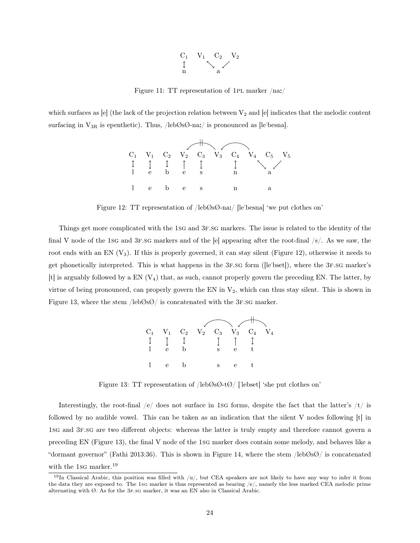

Figure 11: TT representation of 1pl marker /na:/

which surfaces as [e] (the lack of the projection relation between  $V_2$  and [e] indicates that the melodic content surfacing in  $V_{3R}$  is epenthetic). Thus, /leb $\emptyset$ s $\emptyset$ -na:/ is pronounced as [le'besna].



Figure 12: TT representation of /lebØsØ-na:/ [le'besna] 'we put clothes on'

Things get more complicated with the 1sG and 3F.SG markers. The issue is related to the identity of the final V node of the 1sg and 3F.sg markers and of the  $[e]$  appearing after the root-final  $/s/$ . As we saw, the root ends with an EN  $(V_3)$ . If this is properly governed, it can stay silent (Figure 12), otherwise it needs to get phonetically interpreted. This is what happens in the 3f.sg form ([le"bset]), where the 3f.sg marker's [t] is arguably followed by a EN (V4) that, as such, cannot properly govern the preceding EN. The latter, by virtue of being pronounced, can properly govern the EN in  $V_2$ , which can thus stay silent. This is shown in Figure 13, where the stem  $/$ leb $\emptyset$ s $\emptyset/$  is concatenated with the 3F.sG marker.



Figure 13: TT representation of /lebØsØ-tØ/ ["lebset] 'she put clothes on'

Interestingly, the root-final  $/e/$  does not surface in 1sg forms, despite the fact that the latter's  $/t/$  is followed by no audible vowel. This can be taken as an indication that the silent V nodes following [t] in 1sg and 3f.sg are two different objects: whereas the latter is truly empty and therefore cannot govern a preceding EN (Figure 13), the final V node of the 1sg marker does contain some melody, and behaves like a "dormant governor" (Fathi 2013:36). This is shown in Figure 14, where the stem /lebØsØ/ is concatenated with the 1sq marker.<sup>19</sup>

<sup>&</sup>lt;sup>19</sup>In Classical Arabic, this position was filled with  $/u/$ , but CEA speakers are not likely to have any way to infer it from the data they are exposed to. The 1sg marker is thus represented as bearing  $/e/$ , namely the less marked CEA melodic prime alternating with  $\emptyset$ . As for the 3F.sg marker, it was an EN also in Classical Arabic.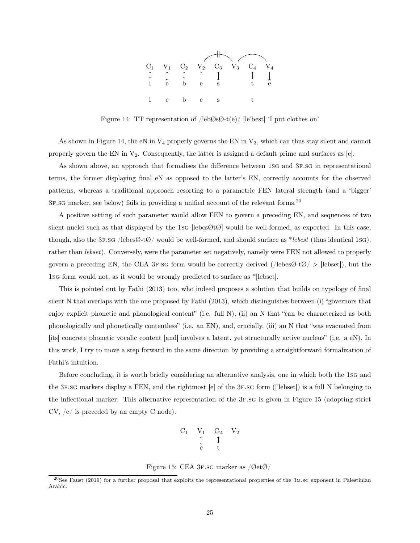

Figure 14: TT representation of  $/$ leb $\emptyset$ s $\emptyset$ -t(e) [le'best] 'I put clothes on'

As shown in Figure 14, the eN in  $V_4$  properly governs the EN in  $V_3$ , which can thus stay silent and cannot properly govern the EN in  $V_2$ . Consequently, the latter is assigned a default prime and surfaces as [e].

As shown above, an approach that formalises the difference between 1sg and 3f.sg in representational terms, the former displaying final eN as opposed to the latter's EN, correctly accounts for the observed patterns, whereas a traditional approach resorting to a parametric FEN lateral strength (and a 'bigger' 3f.sg marker, see below) fails in providing a unified account of the relevant forms.<sup>20</sup>

A positive setting of such parameter would allow FEN to govern a preceding EN, and sequences of two silent nuclei such as that displayed by the 1sg [lebes $\mathcal{O}(\mathcal{O})$ ] would be well-formed, as expected. In this case, though, also the 3F.sg /lebes $\emptyset$ -t $\emptyset$ / would be well-formed, and should surface as \*lebest (thus identical 1sg), rather than lebset). Conversely, were the parameter set negatively, namely were FEN not allowed to properly govern a preceding EN, the CEA 3F.sg form would be correctly derived (/lebes $\mathcal{O}(\mathcal{O}) >$  [lebset]), but the 1sg form would not, as it would be wrongly predicted to surface as \*[lebset].

This is pointed out by Fathi (2013) too, who indeed proposes a solution that builds on typology of final silent N that overlaps with the one proposed by Fathi (2013), which distinguishes between (i) "governors that enjoy explicit phonetic and phonological content" (i.e. full N), (ii) an N that "can be characterized as both phonologically and phonetically contentless" (i.e. an EN), and, crucially, (iii) an N that "was evacuated from [its] concrete phonetic vocalic content [and] involves a latent, yet structurally active nucleus" (i.e. a eN). In this work, I try to move a step forward in the same direction by providing a straightforward formalization of Fathi's intuition.

Before concluding, it is worth briefly considering an alternative analysis, one in which both the 1sg and the 3f.sg markers display a FEN, and the rightmost [e] of the 3f.sg form (["lebset]) is a full N belonging to the inflectional marker. This alternative representation of the 3f.sg is given in Figure 15 (adopting strict CV, /e/ is preceded by an empty C node).

$$
\begin{matrix}C_1 & V_1 & C_2 & V_2\\ & \updownarrow & \downarrow\\ & \mathrm{e} & \mathrm{t}\end{matrix}
$$

Figure 15: CEA 3F.sG marker as  $\sqrt{\mathcal{O}}et\mathcal{O}/$ 

 $^{20}$ See Faust (2019) for a further proposal that exploits the representational properties of the 3m.sg exponent in Palestinian Arabic.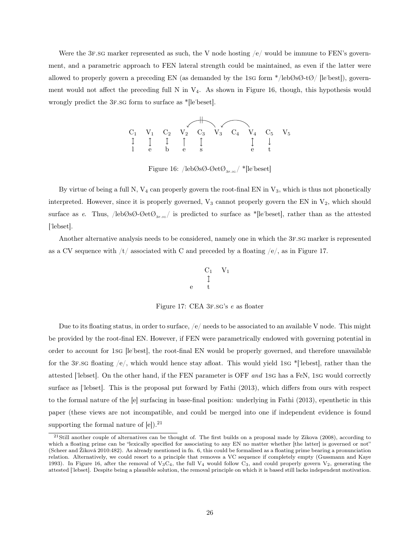Were the 3F.sg marker represented as such, the V node hosting  $/e/$  would be immune to FEN's government, and a parametric approach to FEN lateral strength could be maintained, as even if the latter were allowed to properly govern a preceding EN (as demanded by the 1sg form  $\ell$  leb $\delta\mathcal{O}\rightarrow\ell\mathcal{O}/\ell$  [le'best]), government would not affect the preceding full N in  $V_4$ . As shown in Figure 16, though, this hypothesis would wrongly predict the 3F.sg form to surface as  $*$ [le'beset].

|  |  | $C_1$ $V_1$ $C_2$ $V_2$ $C_3$ $V_3$ $C_4$ $V_4$ $C_5$ $V_5$ |  |  |
|--|--|-------------------------------------------------------------|--|--|
|  |  |                                                             |  |  |

Figure 16: /leb $\mathcal{O}$ s $\mathcal{O}$ - $\mathcal{O}$ et $\mathcal{O}_{3_{F,SC}}$ / \*[le'beset]

By virtue of being a full N,  $V_4$  can properly govern the root-final EN in  $V_3$ , which is thus not phonetically interpreted. However, since it is properly governed,  $V_3$  cannot properly govern the EN in  $V_2$ , which should surface as e. Thus,  $/$ leb $\mathcal{O}$ s $\mathcal{O}$ - $\mathcal{O}$ et $\mathcal{O}_{3_{F,SC}}/$  is predicted to surface as \*[le'beset], rather than as the attested ["lebset].

Another alternative analysis needs to be considered, namely one in which the 3f.sg marker is represented as a CV sequence with  $/t/$  associated with C and preceded by a floating  $/e/$ , as in Figure 17.

$$
\begin{matrix} & & C_1 & & V_1 \\ & \updownarrow & & \\ & & \updownarrow & & \\ e & & t & & \end{matrix}
$$

Figure 17: CEA 3F.sG's e as floater

Due to its floating status, in order to surface,  $/e$  needs to be associated to an available V node. This might be provided by the root-final EN. However, if FEN were parametrically endowed with governing potential in order to account for 1sg [le"best], the root-final EN would be properly governed, and therefore unavailable for the 3F.sg floating  $\langle e \rangle$ , which would hence stay afloat. This would yield 1sg \*['lebest], rather than the attested ['lebset]. On the other hand, if the FEN parameter is OFF and 1sg has a FeN, 1sg would correctly surface as ["lebset]. This is the proposal put forward by Fathi (2013), which differs from ours with respect to the formal nature of the [e] surfacing in base-final position: underlying in Fathi (2013), epenthetic in this paper (these views are not incompatible, and could be merged into one if independent evidence is found supporting the formal nature of  $[e]$ .<sup>21</sup>

 $^{21}$ Still another couple of alternatives can be thought of. The first builds on a proposal made by Zikova (2008), according to which a floating prime can be "lexically specified for associating to any EN no matter whether [the latter] is governed or not" (Scheer and Žiková 2010:482). As already mentioned in fn. 6, this could be formalised as a floating prime bearing a pronunciation relation. Alternatively, we could resort to a principle that removes a VC sequence if completely empty (Gussmann and Kaye 1993). In Figure 16, after the removal of  $V_3C_4$ , the full  $V_4$  would follow  $C_3$ , and could properly govern  $V_2$ , generating the attested ["lebset]. Despite being a plausible solution, the removal principle on which it is based still lacks independent motivation.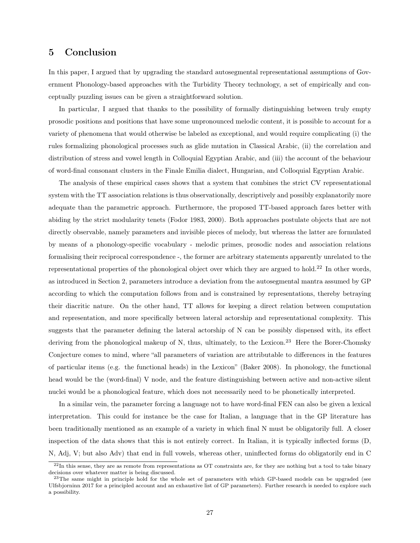### 5 Conclusion

In this paper, I argued that by upgrading the standard autosegmental representational assumptions of Government Phonology-based approaches with the Turbidity Theory technology, a set of empirically and conceptually puzzling issues can be given a straightforward solution.

In particular, I argued that thanks to the possibility of formally distinguishing between truly empty prosodic positions and positions that have some unpronounced melodic content, it is possible to account for a variety of phenomena that would otherwise be labeled as exceptional, and would require complicating (i) the rules formalizing phonological processes such as glide mutation in Classical Arabic, (ii) the correlation and distribution of stress and vowel length in Colloquial Egyptian Arabic, and (iii) the account of the behaviour of word-final consonant clusters in the Finale Emilia dialect, Hungarian, and Colloquial Egyptian Arabic.

The analysis of these empirical cases shows that a system that combines the strict CV representational system with the TT association relations is thus observationally, descriptively and possibly explanatorily more adequate than the parametric approach. Furthermore, the proposed TT-based approach fares better with abiding by the strict modularity tenets (Fodor 1983, 2000). Both approaches postulate objects that are not directly observable, namely parameters and invisible pieces of melody, but whereas the latter are formulated by means of a phonology-specific vocabulary - melodic primes, prosodic nodes and association relations formalising their reciprocal correspondence -, the former are arbitrary statements apparently unrelated to the representational properties of the phonological object over which they are argued to hold.<sup>22</sup> In other words, as introduced in Section 2, parameters introduce a deviation from the autosegmental mantra assumed by GP according to which the computation follows from and is constrained by representations, thereby betraying their diacritic nature. On the other hand, TT allows for keeping a direct relation between computation and representation, and more specifically between lateral actorship and representational complexity. This suggests that the parameter defining the lateral actorship of N can be possibly dispensed with, its effect deriving from the phonological makeup of N, thus, ultimately, to the Lexicon.<sup>23</sup> Here the Borer-Chomsky Conjecture comes to mind, where "all parameters of variation are attributable to differences in the features of particular items (e.g. the functional heads) in the Lexicon" (Baker 2008). In phonology, the functional head would be the (word-final) V node, and the feature distinguishing between active and non-active silent nuclei would be a phonological feature, which does not necessarily need to be phonetically interpreted.

In a similar vein, the parameter forcing a language not to have word-final FEN can also be given a lexical interpretation. This could for instance be the case for Italian, a language that in the GP literature has been traditionally mentioned as an example of a variety in which final N must be obligatorily full. A closer inspection of the data shows that this is not entirely correct. In Italian, it is typically inflected forms (D, N, Adj, V; but also Adv) that end in full vowels, whereas other, uninflected forms do obligatorily end in C

 $^{22}$ In this sense, they are as remote from representations as OT constraints are, for they are nothing but a tool to take binary decisions over whatever matter is being discussed.

 $23$ The same might in principle hold for the whole set of parameters with which GP-based models can be upgraded (see Ulfsbjorninn 2017 for a principled account and an exhaustive list of GP parameters). Further research is needed to explore such a possibility.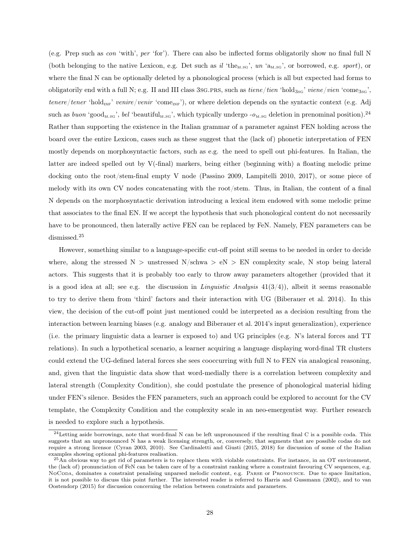(e.g. Prep such as con 'with', per 'for'). There can also be inflected forms obligatorily show no final full N (both belonging to the native Lexicon, e.g. Det such as  $il'$  the<sub>m.sg</sub>', un 'a<sub>m.sg</sub>', or borrowed, e.g. sport), or where the final N can be optionally deleted by a phonological process (which is all but expected had forms to obligatorily end with a full N; e.g. II and III class 3sG.PRS, such as  $tiene/tien$  'hold<sub>3sg</sub>' viene/vien 'come<sub>3sg</sub>', tenere/tener 'hold<sub>INF</sub>' venire/venir 'come<sub>INF</sub>'), or where deletion depends on the syntactic context (e.g. Adj such as *buon* 'good<sub>m.sg</sub>', bel 'beautiful<sub>m.sg</sub>', which typically undergo  $-\rho_{\text{M,SG}}$  deletion in prenominal position).<sup>24</sup> Rather than supporting the existence in the Italian grammar of a parameter against FEN holding across the board over the entire Lexicon, cases such as these suggest that the (lack of) phonetic interpretation of FEN mostly depends on morphosyntactic factors, such as e.g. the need to spell out phi-features. In Italian, the latter are indeed spelled out by V(-final) markers, being either (beginning with) a floating melodic prime docking onto the root/stem-final empty V node (Passino 2009, Lampitelli 2010, 2017), or some piece of melody with its own CV nodes concatenating with the root/stem. Thus, in Italian, the content of a final N depends on the morphosyntactic derivation introducing a lexical item endowed with some melodic prime that associates to the final EN. If we accept the hypothesis that such phonological content do not necessarily have to be pronounced, then laterally active FEN can be replaced by FeN. Namely, FEN parameters can be dismissed.<sup>25</sup>

However, something similar to a language-specific cut-off point still seems to be needed in order to decide where, along the stressed N > unstressed N/schwa >  $eN > EN$  complexity scale, N stop being lateral actors. This suggests that it is probably too early to throw away parameters altogether (provided that it is a good idea at all; see e.g. the discussion in *Linguistic Analysis*  $41(3/4)$ , albeit it seems reasonable to try to derive them from 'third' factors and their interaction with UG (Biberauer et al. 2014). In this view, the decision of the cut-off point just mentioned could be interpreted as a decision resulting from the interaction between learning biases (e.g. analogy and Biberauer et al. 2014's input generalization), experience (i.e. the primary linguistic data a learner is exposed to) and UG principles (e.g. N's lateral forces and TT relations). In such a hypothetical scenario, a learner acquiring a language displaying word-final TR clusters could extend the UG-defined lateral forces she sees cooccurring with full N to FEN via analogical reasoning, and, given that the linguistic data show that word-medially there is a correlation between complexity and lateral strength (Complexity Condition), she could postulate the presence of phonological material hiding under FEN's silence. Besides the FEN parameters, such an approach could be explored to account for the CV template, the Complexity Condition and the complexity scale in an neo-emergentist way. Further research is needed to explore such a hypothesis.

 $^{24}$ Letting aside borrowings, note that word-final N can be left unpronounced if the resulting final C is a possible coda. This suggests that an unpronounced N has a weak licensing strength, or, conversely, that segments that are possible codas do not require a strong licensor (Cyran 2003, 2010). See Cardinaletti and Giusti (2015, 2018) for discussion of some of the Italian examples showing optional phi-features realisation.

 $^{25}$ An obvious way to get rid of parameters is to replace them with violable constraints. For instance, in an OT environment, the (lack of) pronunciation of FeN can be taken care of by a constraint ranking where a constraint favouring CV sequences, e.g. NoCoda, dominates a constraint penalising unparsed melodic content, e.g. Parse or Pronounce. Due to space limitation, it is not possible to discuss this point further. The interested reader is referred to Harris and Gussmann (2002), and to van Oostendorp (2015) for discussion concerning the relation between constraints and parameters.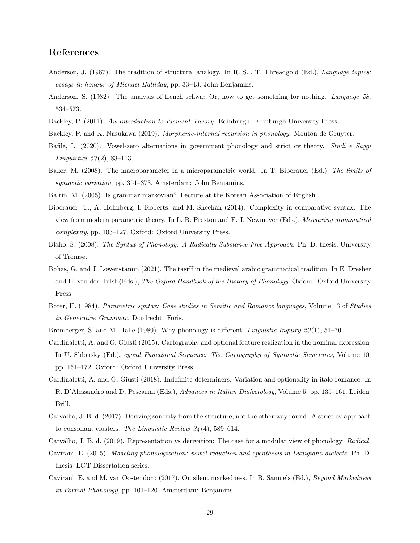# References

- Anderson, J. (1987). The tradition of structural analogy. In R. S. . T. Threadgold (Ed.), *Language topics:* essays in honour of Michael Halliday, pp. 33–43. John Benjamins.
- Anderson, S. (1982). The analysis of french schwa: Or, how to get something for nothing. Language 58, 534–573.
- Backley, P. (2011). An Introduction to Element Theory. Edinburgh: Edinburgh University Press.
- Backley, P. and K. Nasukawa (2019). Morpheme-internal recursion in phonology. Mouton de Gruyter.
- Bafile, L. (2020). Vowel-zero alternations in government phonology and strict cv theory. Studi e Saggi *Linguistici* 57(2), 83-113.
- Baker, M. (2008). The macroparameter in a microparametric world. In T. Biberauer (Ed.), The limits of syntactic variation, pp. 351–373. Amsterdam: John Benjamins.
- Baltin, M. (2005). Is grammar markovian? Lecture at the Korean Association of English.
- Biberauer, T., A. Holmberg, I. Roberts, and M. Sheehan (2014). Complexity in comparative syntax: The view from modern parametric theory. In L. B. Preston and F. J. Newmeyer (Eds.), Measuring grammatical complexity, pp. 103–127. Oxford: Oxford University Press.
- Blaho, S. (2008). The Syntax of Phonology: A Radically Substance-Free Approach. Ph. D. thesis, University of Tromsø.
- Bohas, G. and J. Lowenstamm (2021). The tasrif in the medieval arabic grammatical tradition. In E. Dresher and H. van der Hulst (Eds.), The Oxford Handbook of the History of Phonology. Oxford: Oxford University Press.
- Borer, H. (1984). Parametric syntax: Case studies in Semitic and Romance languages, Volume 13 of Studies in Generative Grammar. Dordrecht: Foris.
- Bromberger, S. and M. Halle (1989). Why phonology is different. Linguistic Inquiry  $20(1)$ , 51–70.
- Cardinaletti, A. and G. Giusti (2015). Cartography and optional feature realization in the nominal expression. In U. Shlonsky (Ed.), eyond Functional Sequence: The Cartography of Syntactic Structures, Volume 10, pp. 151–172. Oxford: Oxford University Press.
- Cardinaletti, A. and G. Giusti (2018). Indefinite determiners: Variation and optionality in italo-romance. In R. D'Alessandro and D. Pescarini (Eds.), Advances in Italian Dialectology, Volume 5, pp. 135–161. Leiden: Brill.
- Carvalho, J. B. d. (2017). Deriving sonority from the structure, not the other way round: A strict cv approach to consonant clusters. The Linguistic Review  $34(4)$ , 589–614.
- Carvalho, J. B. d. (2019). Representation vs derivation: The case for a modular view of phonology. Radical.
- Cavirani, E. (2015). Modeling phonologization: vowel reduction and epenthesis in Lunigiana dialects. Ph. D. thesis, LOT Dissertation series.
- Cavirani, E. and M. van Oostendorp (2017). On silent markedness. In B. Samuels (Ed.), Beyond Markedness in Formal Phonology, pp. 101–120. Amsterdam: Benjamins.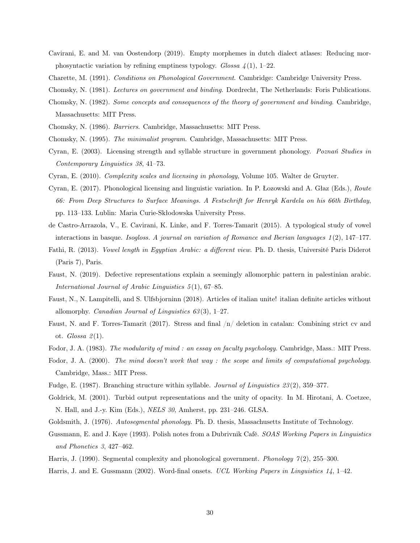- Cavirani, E. and M. van Oostendorp (2019). Empty morphemes in dutch dialect atlases: Reducing morphosyntactic variation by refining emptiness typology. Glossa  $\frac{1}{4}(1)$ , 1–22.
- Charette, M. (1991). Conditions on Phonological Government. Cambridge: Cambridge University Press.
- Chomsky, N. (1981). Lectures on government and binding. Dordrecht, The Netherlands: Foris Publications.
- Chomsky, N. (1982). Some concepts and consequences of the theory of government and binding. Cambridge, Massachusetts: MIT Press.
- Chomsky, N. (1986). Barriers. Cambridge, Massachusetts: MIT Press.
- Chomsky, N. (1995). The minimalist program. Cambridge, Massachusetts: MIT Press.
- Cyran, E. (2003). Licensing strength and syllable structure in government phonology. Poznań Studies in Contemporary Linguistics 38, 41–73.
- Cyran, E. (2010). Complexity scales and licensing in phonology, Volume 105. Walter de Gruyter.
- Cyran, E. (2017). Phonological licensing and linguistic variation. In P. Łozowski and A. Głaz (Eds.), Route 66: From Deep Structures to Surface Meanings. A Festschrift for Henryk Kardela on his 66th Birthday, pp. 113–133. Lublin: Maria Curie-Skłodowska University Press.
- de Castro-Arrazola, V., E. Cavirani, K. Linke, and F. Torres-Tamarit (2015). A typological study of vowel interactions in basque. Isogloss. A journal on variation of Romance and Iberian languages  $1(2)$ ,  $147-177$ .
- Fathi, R. (2013). Vowel length in Egyptian Arabic: a different view. Ph. D. thesis, Université Paris Diderot (Paris 7), Paris.
- Faust, N. (2019). Defective representations explain a seemingly allomorphic pattern in palestinian arabic. International Journal of Arabic Linguistics 5 (1), 67–85.
- Faust, N., N. Lampitelli, and S. Ulfsbjorninn (2018). Articles of italian unite! italian definite articles without allomorphy. *Canadian Journal of Linguistics*  $63(3)$ , 1–27.
- Faust, N. and F. Torres-Tamarit (2017). Stress and final /n/ deletion in catalan: Combining strict cv and ot.  $Glossa 2(1)$ .
- Fodor, J. A. (1983). The modularity of mind: an essay on faculty psychology. Cambridge, Mass.: MIT Press.
- Fodor, J. A. (2000). The mind doesn't work that way : the scope and limits of computational psychology. Cambridge, Mass.: MIT Press.
- Fudge, E. (1987). Branching structure within syllable. *Journal of Linguistics 23*(2), 359–377.
- Goldrick, M. (2001). Turbid output representations and the unity of opacity. In M. Hirotani, A. Coetzee, N. Hall, and J.-y. Kim (Eds.), NELS 30, Amherst, pp. 231–246. GLSA.
- Goldsmith, J. (1976). Autosegmental phonology. Ph. D. thesis, Massachusetts Institute of Technology.
- Gussmann, E. and J. Kaye (1993). Polish notes from a Dubrivnik Café. SOAS Working Papers in Linguistics and Phonetics 3, 427–462.
- Harris, J. (1990). Segmental complexity and phonological government. *Phonology*  $\mathcal{T}(2)$ , 255–300.
- Harris, J. and E. Gussmann (2002). Word-final onsets. UCL Working Papers in Linguistics 14, 1–42.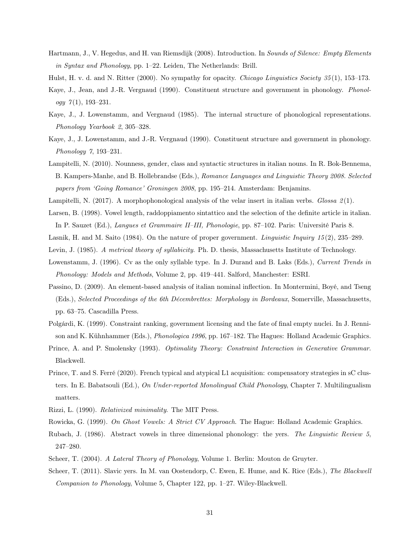Hartmann, J., V. Hegedus, and H. van Riemsdijk (2008). Introduction. In Sounds of Silence: Empty Elements in Syntax and Phonology, pp. 1–22. Leiden, The Netherlands: Brill.

Hulst, H. v. d. and N. Ritter (2000). No sympathy for opacity. *Chicago Linguistics Society 35* (1), 153–173.

- Kaye, J., Jean, and J.-R. Vergnaud (1990). Constituent structure and government in phonology. *Phonol*ogy  $7(1)$ , 193-231.
- Kaye, J., J. Lowenstamm, and Vergnaud (1985). The internal structure of phonological representations. Phonology Yearbook 2, 305–328.
- Kaye, J., J. Lowenstamm, and J.-R. Vergnaud (1990). Constituent structure and government in phonology. Phonology 7, 193–231.
- Lampitelli, N. (2010). Nounness, gender, class and syntactic structures in italian nouns. In R. Bok-Bennema, B. Kampers-Manhe, and B. Hollebrandse (Eds.), Romance Languages and Linguistic Theory 2008. Selected papers from 'Going Romance' Groningen 2008, pp. 195–214. Amsterdam: Benjamins.
- Lampitelli, N. (2017). A morphophonological analysis of the velar insert in italian verbs. Glossa  $\mathcal{Q}(1)$ .
- Larsen, B. (1998). Vowel length, raddoppiamento sintattico and the selection of the definite article in italian. In P. Sauzet (Ed.), Langues et Grammaire II–III, Phonologie, pp. 87–102. Paris: Université Paris 8.
- Lasnik, H. and M. Saito (1984). On the nature of proper government. Linguistic Inquiry 15 (2), 235–289.
- Levin, J. (1985). A metrical theory of syllabicity. Ph. D. thesis, Massachusetts Institute of Technology.
- Lowenstamm, J. (1996). Cv as the only syllable type. In J. Durand and B. Laks (Eds.), Current Trends in Phonology: Models and Methods, Volume 2, pp. 419–441. Salford, Manchester: ESRI.
- Passino, D. (2009). An element-based analysis of italian nominal inflection. In Montermini, Boyé, and Tseng (Eds.), Selected Proceedings of the 6th Décembrettes: Morphology in Bordeaux, Somerville, Massachusetts, pp. 63–75. Cascadilla Press.
- Polgárdi, K. (1999). Constraint ranking, government licensing and the fate of final empty nuclei. In J. Rennison and K. Kühnhammer (Eds.), Phonologica 1996, pp. 167–182. The Hagues: Holland Academic Graphics.
- Prince, A. and P. Smolensky (1993). *Optimality Theory: Constraint Interaction in Generative Grammar.* Blackwell.
- Prince, T. and S. Ferré (2020). French typical and atypical L1 acquisition: compensatory strategies in sC clusters. In E. Babatsouli (Ed.), On Under-reported Monolingual Child Phonology, Chapter 7. Multilingualism matters.
- Rizzi, L. (1990). Relativized minimality. The MIT Press.
- Rowicka, G. (1999). On Ghost Vowels: A Strict CV Approach. The Hague: Holland Academic Graphics.
- Rubach, J. (1986). Abstract vowels in three dimensional phonology: the yers. The Linguistic Review 5, 247–280.
- Scheer, T. (2004). A Lateral Theory of Phonology, Volume 1. Berlin: Mouton de Gruyter.
- Scheer, T. (2011). Slavic yers. In M. van Oostendorp, C. Ewen, E. Hume, and K. Rice (Eds.), The Blackwell Companion to Phonology, Volume 5, Chapter 122, pp. 1–27. Wiley-Blackwell.